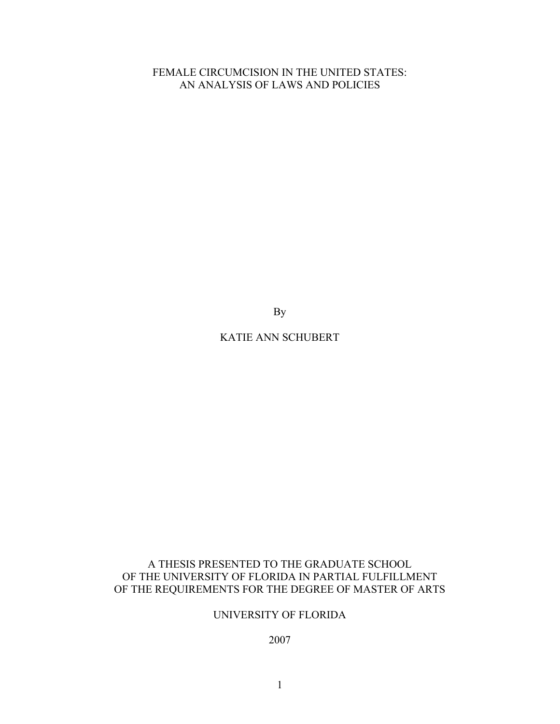# FEMALE CIRCUMCISION IN THE UNITED STATES: AN ANALYSIS OF LAWS AND POLICIES

By

# KATIE ANN SCHUBERT

# A THESIS PRESENTED TO THE GRADUATE SCHOOL OF THE UNIVERSITY OF FLORIDA IN PARTIAL FULFILLMENT OF THE REQUIREMENTS FOR THE DEGREE OF MASTER OF ARTS

# UNIVERSITY OF FLORIDA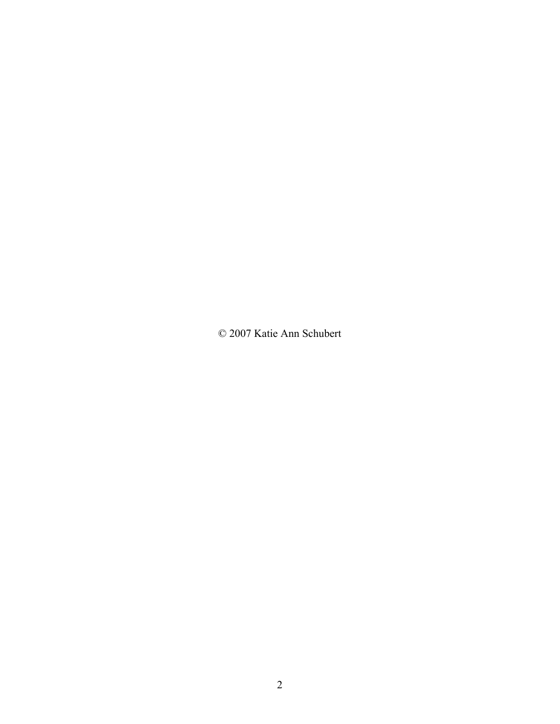© 2007 Katie Ann Schubert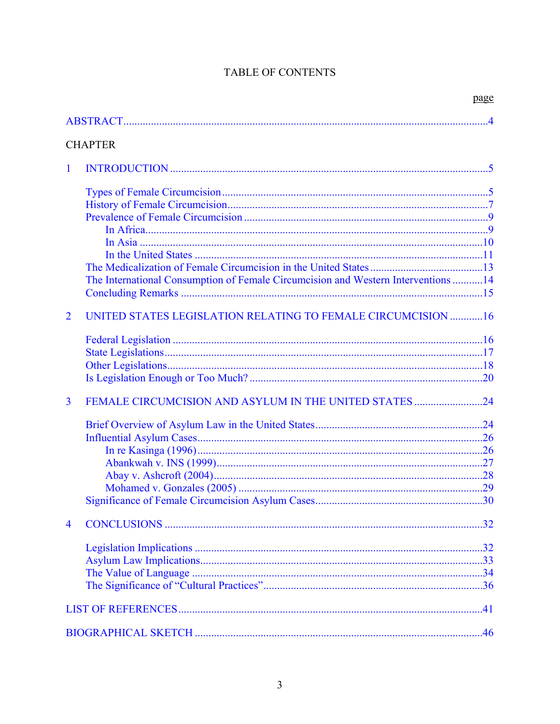# TABLE OF CONTENTS

|                |                                                                                   | page |
|----------------|-----------------------------------------------------------------------------------|------|
|                |                                                                                   |      |
|                | <b>CHAPTER</b>                                                                    |      |
| $\mathbf{1}$   |                                                                                   |      |
|                |                                                                                   |      |
|                |                                                                                   |      |
|                |                                                                                   |      |
|                |                                                                                   |      |
|                |                                                                                   |      |
|                |                                                                                   |      |
|                |                                                                                   |      |
|                | The International Consumption of Female Circumcision and Western Interventions 14 |      |
|                |                                                                                   |      |
| $\overline{2}$ | UNITED STATES LEGISLATION RELATING TO FEMALE CIRCUMCISION 16                      |      |
|                |                                                                                   |      |
|                |                                                                                   |      |
|                |                                                                                   |      |
|                |                                                                                   |      |
| $\overline{3}$ | FEMALE CIRCUMCISION AND ASYLUM IN THE UNITED STATES 24                            |      |
|                |                                                                                   |      |
|                |                                                                                   |      |
|                |                                                                                   |      |
|                |                                                                                   |      |
|                |                                                                                   |      |
|                |                                                                                   |      |
|                |                                                                                   |      |
| $\overline{4}$ |                                                                                   | .32  |
|                |                                                                                   |      |
|                |                                                                                   |      |
|                |                                                                                   |      |
|                |                                                                                   |      |
|                |                                                                                   |      |
|                |                                                                                   |      |
|                |                                                                                   |      |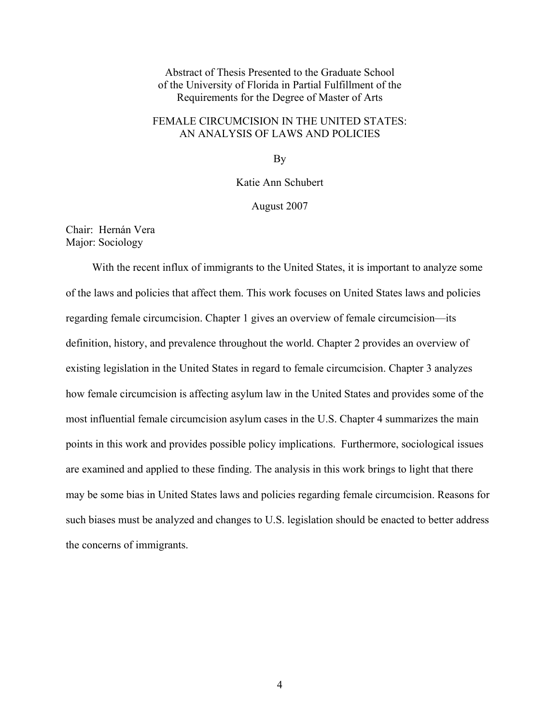### <span id="page-3-0"></span>Abstract of Thesis Presented to the Graduate School of the University of Florida in Partial Fulfillment of the Requirements for the Degree of Master of Arts

### FEMALE CIRCUMCISION IN THE UNITED STATES: AN ANALYSIS OF LAWS AND POLICIES

By

Katie Ann Schubert

August 2007

Chair: Hernán Vera Major: Sociology

With the recent influx of immigrants to the United States, it is important to analyze some of the laws and policies that affect them. This work focuses on United States laws and policies regarding female circumcision. Chapter 1 gives an overview of female circumcision—its definition, history, and prevalence throughout the world. Chapter 2 provides an overview of existing legislation in the United States in regard to female circumcision. Chapter 3 analyzes how female circumcision is affecting asylum law in the United States and provides some of the most influential female circumcision asylum cases in the U.S. Chapter 4 summarizes the main points in this work and provides possible policy implications. Furthermore, sociological issues are examined and applied to these finding. The analysis in this work brings to light that there may be some bias in United States laws and policies regarding female circumcision. Reasons for such biases must be analyzed and changes to U.S. legislation should be enacted to better address the concerns of immigrants.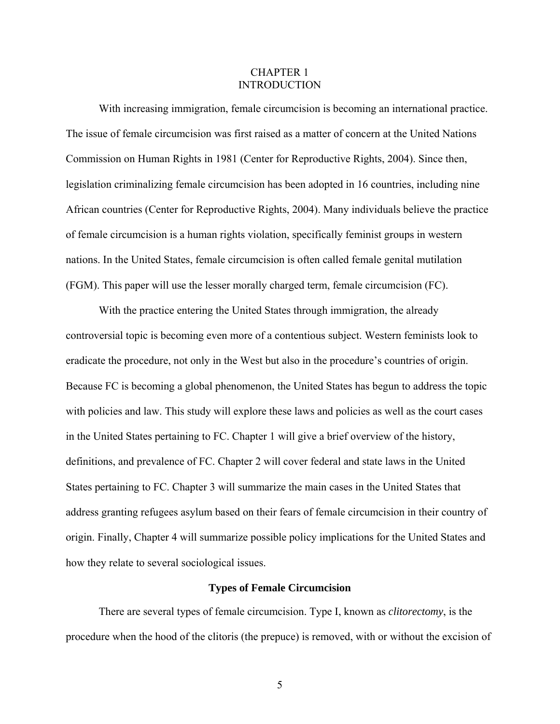### CHAPTER 1 INTRODUCTION

<span id="page-4-0"></span>With increasing immigration, female circumcision is becoming an international practice. The issue of female circumcision was first raised as a matter of concern at the United Nations Commission on Human Rights in 1981 (Center for Reproductive Rights, 2004). Since then, legislation criminalizing female circumcision has been adopted in 16 countries, including nine African countries (Center for Reproductive Rights, 2004). Many individuals believe the practice of female circumcision is a human rights violation, specifically feminist groups in western nations. In the United States, female circumcision is often called female genital mutilation (FGM). This paper will use the lesser morally charged term, female circumcision (FC).

With the practice entering the United States through immigration, the already controversial topic is becoming even more of a contentious subject. Western feminists look to eradicate the procedure, not only in the West but also in the procedure's countries of origin. Because FC is becoming a global phenomenon, the United States has begun to address the topic with policies and law. This study will explore these laws and policies as well as the court cases in the United States pertaining to FC. Chapter 1 will give a brief overview of the history, definitions, and prevalence of FC. Chapter 2 will cover federal and state laws in the United States pertaining to FC. Chapter 3 will summarize the main cases in the United States that address granting refugees asylum based on their fears of female circumcision in their country of origin. Finally, Chapter 4 will summarize possible policy implications for the United States and how they relate to several sociological issues.

### **Types of Female Circumcision**

There are several types of female circumcision. Type I, known as *clitorectomy*, is the procedure when the hood of the clitoris (the prepuce) is removed, with or without the excision of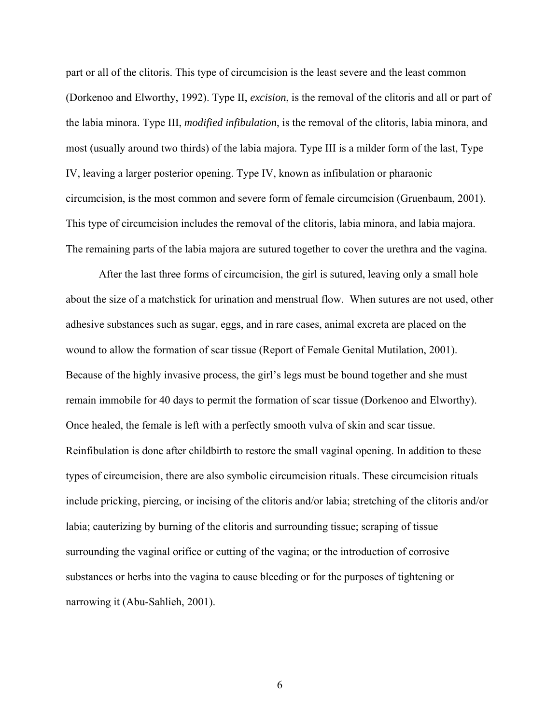part or all of the clitoris. This type of circumcision is the least severe and the least common (Dorkenoo and Elworthy, 1992). Type II, *excision*, is the removal of the clitoris and all or part of the labia minora. Type III, *modified infibulation*, is the removal of the clitoris, labia minora, and most (usually around two thirds) of the labia majora. Type III is a milder form of the last, Type IV, leaving a larger posterior opening. Type IV, known as infibulation or pharaonic circumcision, is the most common and severe form of female circumcision (Gruenbaum, 2001). This type of circumcision includes the removal of the clitoris, labia minora, and labia majora. The remaining parts of the labia majora are sutured together to cover the urethra and the vagina.

After the last three forms of circumcision, the girl is sutured, leaving only a small hole about the size of a matchstick for urination and menstrual flow. When sutures are not used, other adhesive substances such as sugar, eggs, and in rare cases, animal excreta are placed on the wound to allow the formation of scar tissue (Report of Female Genital Mutilation, 2001). Because of the highly invasive process, the girl's legs must be bound together and she must remain immobile for 40 days to permit the formation of scar tissue (Dorkenoo and Elworthy). Once healed, the female is left with a perfectly smooth vulva of skin and scar tissue. Reinfibulation is done after childbirth to restore the small vaginal opening. In addition to these types of circumcision, there are also symbolic circumcision rituals. These circumcision rituals include pricking, piercing, or incising of the clitoris and/or labia; stretching of the clitoris and/or labia; cauterizing by burning of the clitoris and surrounding tissue; scraping of tissue surrounding the vaginal orifice or cutting of the vagina; or the introduction of corrosive substances or herbs into the vagina to cause bleeding or for the purposes of tightening or narrowing it (Abu-Sahlieh, 2001).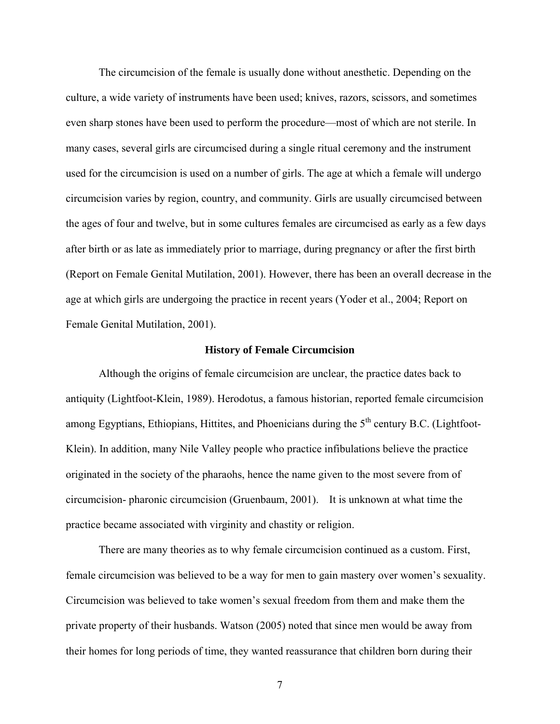<span id="page-6-0"></span>The circumcision of the female is usually done without anesthetic. Depending on the culture, a wide variety of instruments have been used; knives, razors, scissors, and sometimes even sharp stones have been used to perform the procedure—most of which are not sterile. In many cases, several girls are circumcised during a single ritual ceremony and the instrument used for the circumcision is used on a number of girls. The age at which a female will undergo circumcision varies by region, country, and community. Girls are usually circumcised between the ages of four and twelve, but in some cultures females are circumcised as early as a few days after birth or as late as immediately prior to marriage, during pregnancy or after the first birth (Report on Female Genital Mutilation, 2001). However, there has been an overall decrease in the age at which girls are undergoing the practice in recent years (Yoder et al., 2004; Report on Female Genital Mutilation, 2001).

#### **History of Female Circumcision**

Although the origins of female circumcision are unclear, the practice dates back to antiquity (Lightfoot-Klein, 1989). Herodotus, a famous historian, reported female circumcision among Egyptians, Ethiopians, Hittites, and Phoenicians during the  $5<sup>th</sup>$  century B.C. (Lightfoot-Klein). In addition, many Nile Valley people who practice infibulations believe the practice originated in the society of the pharaohs, hence the name given to the most severe from of circumcision- pharonic circumcision (Gruenbaum, 2001). It is unknown at what time the practice became associated with virginity and chastity or religion.

 There are many theories as to why female circumcision continued as a custom. First, female circumcision was believed to be a way for men to gain mastery over women's sexuality. Circumcision was believed to take women's sexual freedom from them and make them the private property of their husbands. Watson (2005) noted that since men would be away from their homes for long periods of time, they wanted reassurance that children born during their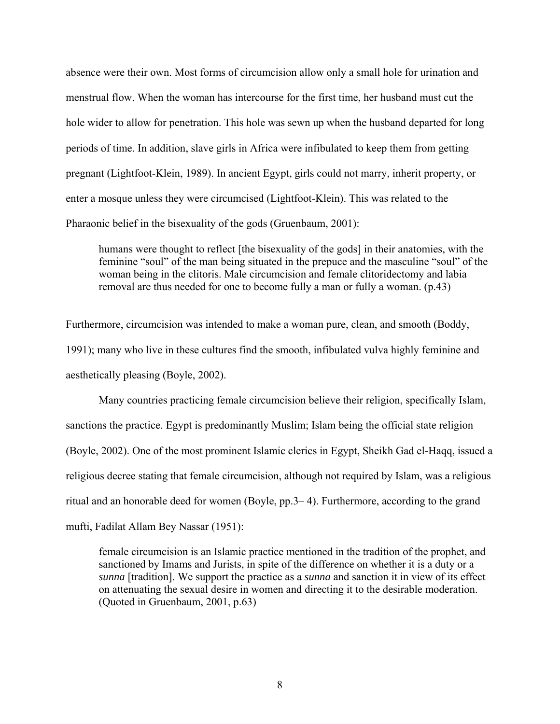absence were their own. Most forms of circumcision allow only a small hole for urination and menstrual flow. When the woman has intercourse for the first time, her husband must cut the hole wider to allow for penetration. This hole was sewn up when the husband departed for long periods of time. In addition, slave girls in Africa were infibulated to keep them from getting pregnant (Lightfoot-Klein, 1989). In ancient Egypt, girls could not marry, inherit property, or enter a mosque unless they were circumcised (Lightfoot-Klein). This was related to the Pharaonic belief in the bisexuality of the gods (Gruenbaum, 2001):

humans were thought to reflect [the bisexuality of the gods] in their anatomies, with the feminine "soul" of the man being situated in the prepuce and the masculine "soul" of the woman being in the clitoris. Male circumcision and female clitoridectomy and labia removal are thus needed for one to become fully a man or fully a woman. (p.43)

Furthermore, circumcision was intended to make a woman pure, clean, and smooth (Boddy, 1991); many who live in these cultures find the smooth, infibulated vulva highly feminine and aesthetically pleasing (Boyle, 2002).

Many countries practicing female circumcision believe their religion, specifically Islam, sanctions the practice. Egypt is predominantly Muslim; Islam being the official state religion (Boyle, 2002). One of the most prominent Islamic clerics in Egypt, Sheikh Gad el-Haqq, issued a religious decree stating that female circumcision, although not required by Islam, was a religious ritual and an honorable deed for women (Boyle, pp.3– 4). Furthermore, according to the grand mufti, Fadilat Allam Bey Nassar (1951):

female circumcision is an Islamic practice mentioned in the tradition of the prophet, and sanctioned by Imams and Jurists, in spite of the difference on whether it is a duty or a *sunna* [tradition]. We support the practice as a *sunna* and sanction it in view of its effect on attenuating the sexual desire in women and directing it to the desirable moderation. (Quoted in Gruenbaum, 2001, p.63)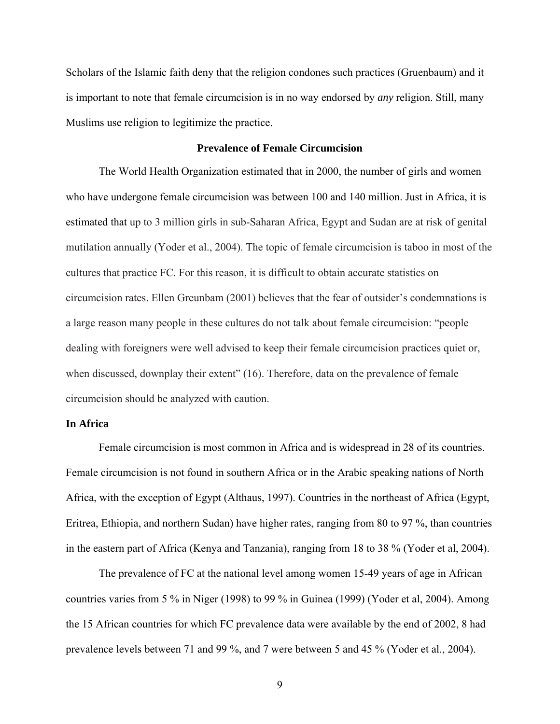<span id="page-8-0"></span>Scholars of the Islamic faith deny that the religion condones such practices (Gruenbaum) and it is important to note that female circumcision is in no way endorsed by *any* religion. Still, many Muslims use religion to legitimize the practice.

### **Prevalence of Female Circumcision**

The World Health Organization estimated that in 2000, the number of girls and women who have undergone female circumcision was between 100 and 140 million. Just in Africa, it is estimated that up to 3 million girls in sub-Saharan Africa, Egypt and Sudan are at risk of genital mutilation annually (Yoder et al., 2004). The topic of female circumcision is taboo in most of the cultures that practice FC. For this reason, it is difficult to obtain accurate statistics on circumcision rates. Ellen Greunbam (2001) believes that the fear of outsider's condemnations is a large reason many people in these cultures do not talk about female circumcision: "people dealing with foreigners were well advised to keep their female circumcision practices quiet or, when discussed, downplay their extent" (16). Therefore, data on the prevalence of female circumcision should be analyzed with caution.

### **In Africa**

Female circumcision is most common in Africa and is widespread in 28 of its countries. Female circumcision is not found in southern Africa or in the Arabic speaking nations of North Africa, with the exception of Egypt (Althaus, 1997). Countries in the northeast of Africa (Egypt, Eritrea, Ethiopia, and northern Sudan) have higher rates, ranging from 80 to 97 %, than countries in the eastern part of Africa (Kenya and Tanzania), ranging from 18 to 38 % (Yoder et al, 2004).

The prevalence of FC at the national level among women 15-49 years of age in African countries varies from 5 % in Niger (1998) to 99 % in Guinea (1999) (Yoder et al, 2004). Among the 15 African countries for which FC prevalence data were available by the end of 2002, 8 had prevalence levels between 71 and 99 %, and 7 were between 5 and 45 % (Yoder et al., 2004).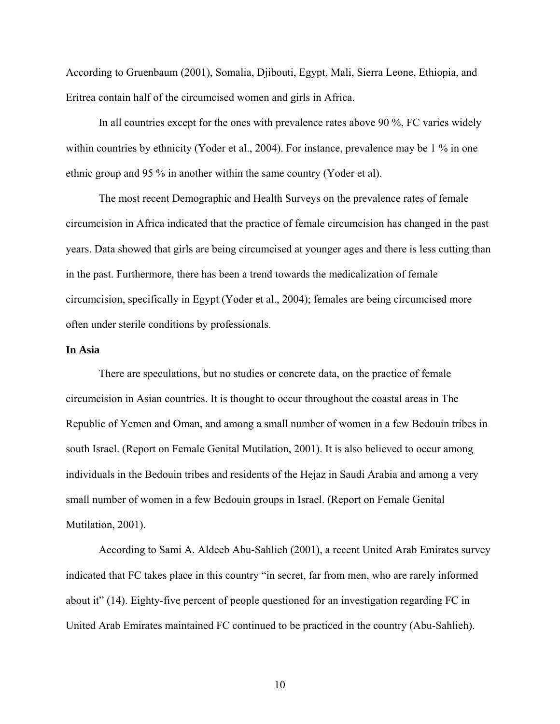<span id="page-9-0"></span>According to Gruenbaum (2001), Somalia, Djibouti, Egypt, Mali, Sierra Leone, Ethiopia, and Eritrea contain half of the circumcised women and girls in Africa.

In all countries except for the ones with prevalence rates above 90 %, FC varies widely within countries by ethnicity (Yoder et al., 2004). For instance, prevalence may be 1 % in one ethnic group and 95 % in another within the same country (Yoder et al).

The most recent Demographic and Health Surveys on the prevalence rates of female circumcision in Africa indicated that the practice of female circumcision has changed in the past years. Data showed that girls are being circumcised at younger ages and there is less cutting than in the past. Furthermore, there has been a trend towards the medicalization of female circumcision, specifically in Egypt (Yoder et al., 2004); females are being circumcised more often under sterile conditions by professionals.

#### **In Asia**

There are speculations, but no studies or concrete data, on the practice of female circumcision in Asian countries. It is thought to occur throughout the coastal areas in The Republic of Yemen and Oman, and among a small number of women in a few Bedouin tribes in south Israel. (Report on Female Genital Mutilation, 2001). It is also believed to occur among individuals in the Bedouin tribes and residents of the Hejaz in Saudi Arabia and among a very small number of women in a few Bedouin groups in Israel. (Report on Female Genital Mutilation, 2001).

According to Sami A. Aldeeb Abu-Sahlieh (2001), a recent United Arab Emirates survey indicated that FC takes place in this country "in secret, far from men, who are rarely informed about it" (14). Eighty-five percent of people questioned for an investigation regarding FC in United Arab Emirates maintained FC continued to be practiced in the country (Abu-Sahlieh).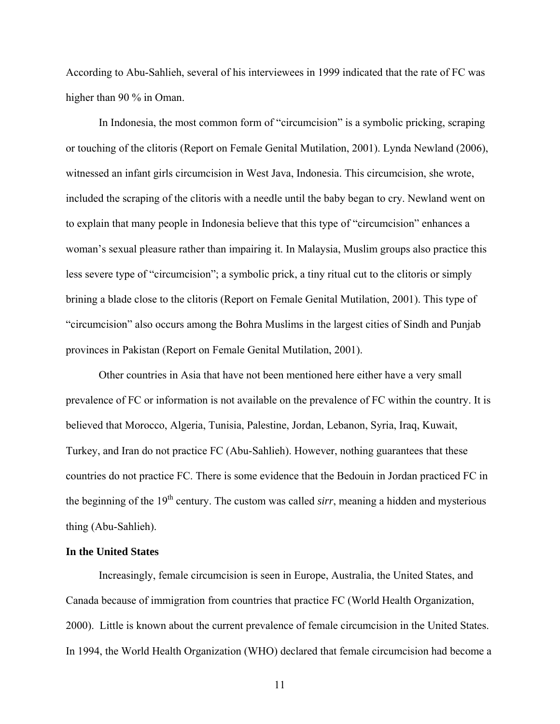<span id="page-10-0"></span>According to Abu-Sahlieh, several of his interviewees in 1999 indicated that the rate of FC was higher than 90 % in Oman.

In Indonesia, the most common form of "circumcision" is a symbolic pricking, scraping or touching of the clitoris (Report on Female Genital Mutilation, 2001). Lynda Newland (2006), witnessed an infant girls circumcision in West Java, Indonesia. This circumcision, she wrote, included the scraping of the clitoris with a needle until the baby began to cry. Newland went on to explain that many people in Indonesia believe that this type of "circumcision" enhances a woman's sexual pleasure rather than impairing it. In Malaysia, Muslim groups also practice this less severe type of "circumcision"; a symbolic prick, a tiny ritual cut to the clitoris or simply brining a blade close to the clitoris (Report on Female Genital Mutilation, 2001). This type of "circumcision" also occurs among the Bohra Muslims in the largest cities of Sindh and Punjab provinces in Pakistan (Report on Female Genital Mutilation, 2001).

Other countries in Asia that have not been mentioned here either have a very small prevalence of FC or information is not available on the prevalence of FC within the country. It is believed that Morocco, Algeria, Tunisia, Palestine, Jordan, Lebanon, Syria, Iraq, Kuwait, Turkey, and Iran do not practice FC (Abu-Sahlieh). However, nothing guarantees that these countries do not practice FC. There is some evidence that the Bedouin in Jordan practiced FC in the beginning of the 19<sup>th</sup> century. The custom was called *sirr*, meaning a hidden and mysterious thing (Abu-Sahlieh).

#### **In the United States**

 Increasingly, female circumcision is seen in Europe, Australia, the United States, and Canada because of immigration from countries that practice FC (World Health Organization, 2000). Little is known about the current prevalence of female circumcision in the United States. In 1994, the World Health Organization (WHO) declared that female circumcision had become a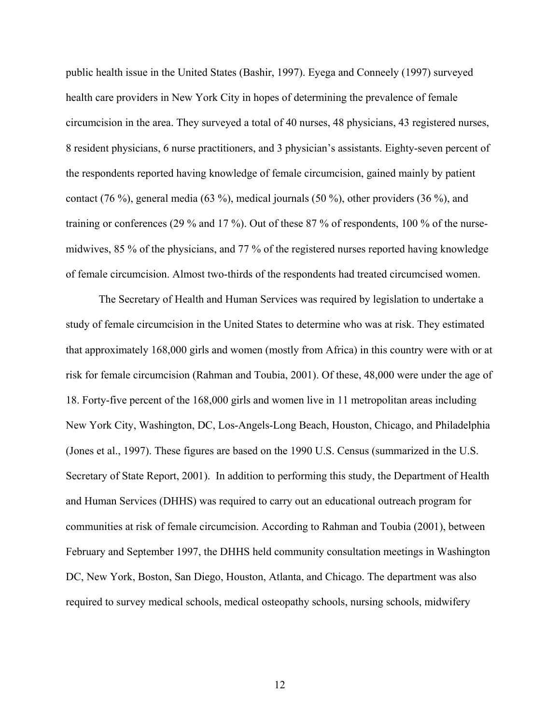public health issue in the United States (Bashir, 1997). Eyega and Conneely (1997) surveyed health care providers in New York City in hopes of determining the prevalence of female circumcision in the area. They surveyed a total of 40 nurses, 48 physicians, 43 registered nurses, 8 resident physicians, 6 nurse practitioners, and 3 physician's assistants. Eighty-seven percent of the respondents reported having knowledge of female circumcision, gained mainly by patient contact (76 %), general media (63 %), medical journals (50 %), other providers (36 %), and training or conferences (29 % and 17 %). Out of these 87 % of respondents, 100 % of the nursemidwives, 85 % of the physicians, and 77 % of the registered nurses reported having knowledge of female circumcision. Almost two-thirds of the respondents had treated circumcised women.

 The Secretary of Health and Human Services was required by legislation to undertake a study of female circumcision in the United States to determine who was at risk. They estimated that approximately 168,000 girls and women (mostly from Africa) in this country were with or at risk for female circumcision (Rahman and Toubia, 2001). Of these, 48,000 were under the age of 18. Forty-five percent of the 168,000 girls and women live in 11 metropolitan areas including New York City, Washington, DC, Los-Angels-Long Beach, Houston, Chicago, and Philadelphia (Jones et al., 1997). These figures are based on the 1990 U.S. Census (summarized in the U.S. Secretary of State Report, 2001). In addition to performing this study, the Department of Health and Human Services (DHHS) was required to carry out an educational outreach program for communities at risk of female circumcision. According to Rahman and Toubia (2001), between February and September 1997, the DHHS held community consultation meetings in Washington DC, New York, Boston, San Diego, Houston, Atlanta, and Chicago. The department was also required to survey medical schools, medical osteopathy schools, nursing schools, midwifery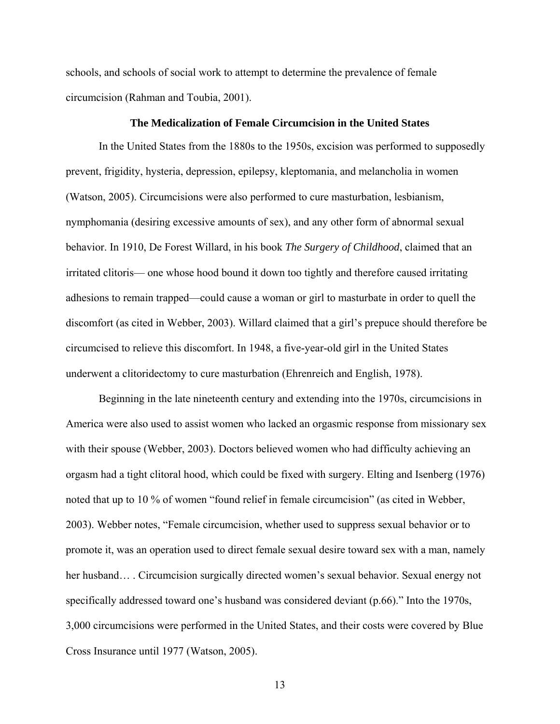<span id="page-12-0"></span>schools, and schools of social work to attempt to determine the prevalence of female circumcision (Rahman and Toubia, 2001).

#### **The Medicalization of Female Circumcision in the United States**

In the United States from the 1880s to the 1950s, excision was performed to supposedly prevent, frigidity, hysteria, depression, epilepsy, kleptomania, and melancholia in women (Watson, 2005). Circumcisions were also performed to cure masturbation, lesbianism, nymphomania (desiring excessive amounts of sex), and any other form of abnormal sexual behavior. In 1910, De Forest Willard, in his book *The Surgery of Childhood*, claimed that an irritated clitoris— one whose hood bound it down too tightly and therefore caused irritating adhesions to remain trapped—could cause a woman or girl to masturbate in order to quell the discomfort (as cited in Webber, 2003). Willard claimed that a girl's prepuce should therefore be circumcised to relieve this discomfort. In 1948, a five-year-old girl in the United States underwent a clitoridectomy to cure masturbation (Ehrenreich and English, 1978).

Beginning in the late nineteenth century and extending into the 1970s, circumcisions in America were also used to assist women who lacked an orgasmic response from missionary sex with their spouse (Webber, 2003). Doctors believed women who had difficulty achieving an orgasm had a tight clitoral hood, which could be fixed with surgery. Elting and Isenberg (1976) noted that up to 10 % of women "found relief in female circumcision" (as cited in Webber, 2003). Webber notes, "Female circumcision, whether used to suppress sexual behavior or to promote it, was an operation used to direct female sexual desire toward sex with a man, namely her husband… . Circumcision surgically directed women's sexual behavior. Sexual energy not specifically addressed toward one's husband was considered deviant (p.66)." Into the 1970s, 3,000 circumcisions were performed in the United States, and their costs were covered by Blue Cross Insurance until 1977 (Watson, 2005).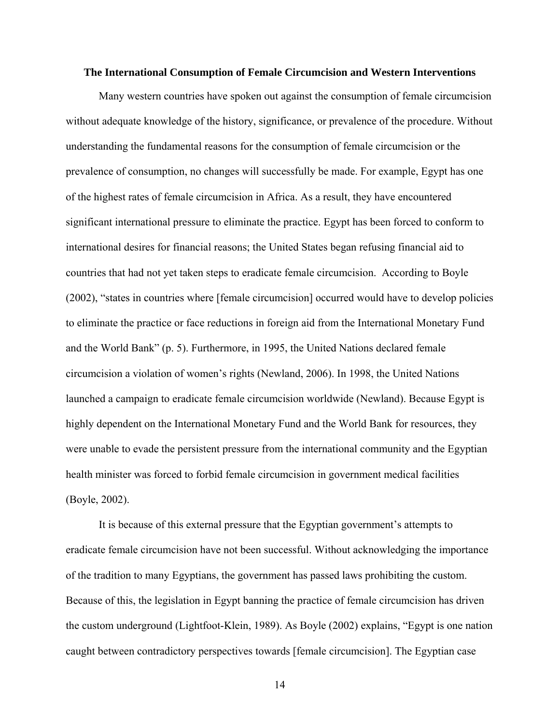#### <span id="page-13-0"></span>**The International Consumption of Female Circumcision and Western Interventions**

Many western countries have spoken out against the consumption of female circumcision without adequate knowledge of the history, significance, or prevalence of the procedure. Without understanding the fundamental reasons for the consumption of female circumcision or the prevalence of consumption, no changes will successfully be made. For example, Egypt has one of the highest rates of female circumcision in Africa. As a result, they have encountered significant international pressure to eliminate the practice. Egypt has been forced to conform to international desires for financial reasons; the United States began refusing financial aid to countries that had not yet taken steps to eradicate female circumcision. According to Boyle (2002), "states in countries where [female circumcision] occurred would have to develop policies to eliminate the practice or face reductions in foreign aid from the International Monetary Fund and the World Bank" (p. 5). Furthermore, in 1995, the United Nations declared female circumcision a violation of women's rights (Newland, 2006). In 1998, the United Nations launched a campaign to eradicate female circumcision worldwide (Newland). Because Egypt is highly dependent on the International Monetary Fund and the World Bank for resources, they were unable to evade the persistent pressure from the international community and the Egyptian health minister was forced to forbid female circumcision in government medical facilities (Boyle, 2002).

It is because of this external pressure that the Egyptian government's attempts to eradicate female circumcision have not been successful. Without acknowledging the importance of the tradition to many Egyptians, the government has passed laws prohibiting the custom. Because of this, the legislation in Egypt banning the practice of female circumcision has driven the custom underground (Lightfoot-Klein, 1989). As Boyle (2002) explains, "Egypt is one nation caught between contradictory perspectives towards [female circumcision]. The Egyptian case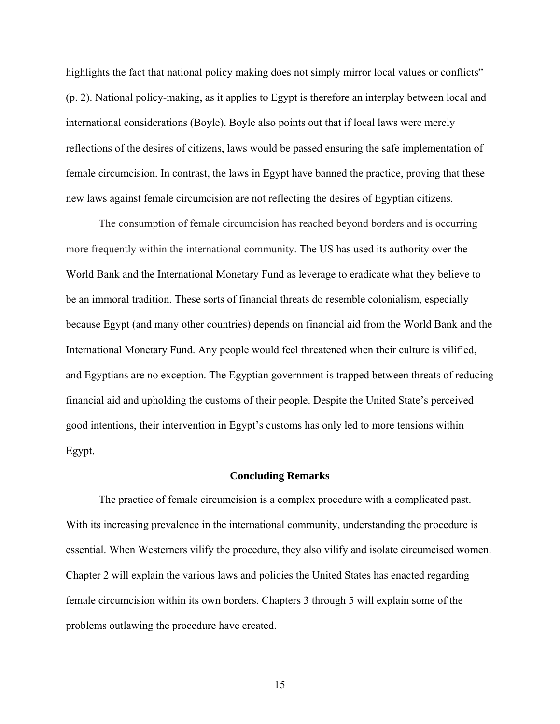<span id="page-14-0"></span>highlights the fact that national policy making does not simply mirror local values or conflicts" (p. 2). National policy-making, as it applies to Egypt is therefore an interplay between local and international considerations (Boyle). Boyle also points out that if local laws were merely reflections of the desires of citizens, laws would be passed ensuring the safe implementation of female circumcision. In contrast, the laws in Egypt have banned the practice, proving that these new laws against female circumcision are not reflecting the desires of Egyptian citizens.

The consumption of female circumcision has reached beyond borders and is occurring more frequently within the international community. The US has used its authority over the World Bank and the International Monetary Fund as leverage to eradicate what they believe to be an immoral tradition. These sorts of financial threats do resemble colonialism, especially because Egypt (and many other countries) depends on financial aid from the World Bank and the International Monetary Fund. Any people would feel threatened when their culture is vilified, and Egyptians are no exception. The Egyptian government is trapped between threats of reducing financial aid and upholding the customs of their people. Despite the United State's perceived good intentions, their intervention in Egypt's customs has only led to more tensions within Egypt.

#### **Concluding Remarks**

The practice of female circumcision is a complex procedure with a complicated past. With its increasing prevalence in the international community, understanding the procedure is essential. When Westerners vilify the procedure, they also vilify and isolate circumcised women. Chapter 2 will explain the various laws and policies the United States has enacted regarding female circumcision within its own borders. Chapters 3 through 5 will explain some of the problems outlawing the procedure have created.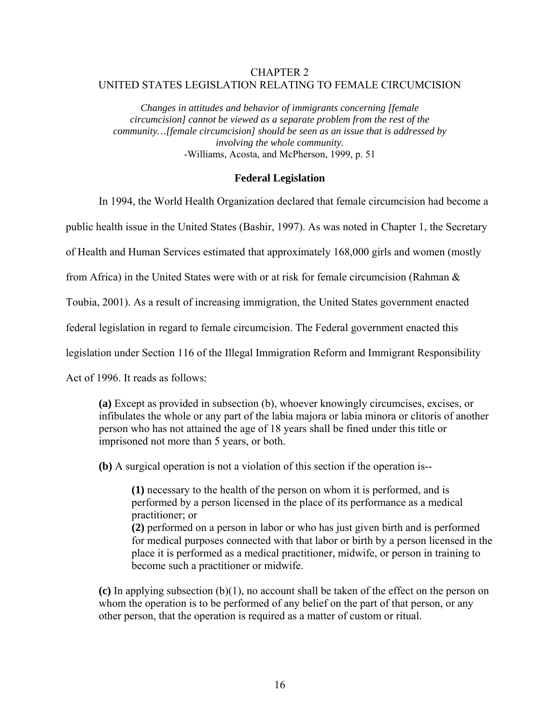### <span id="page-15-0"></span>CHAPTER 2 UNITED STATES LEGISLATION RELATING TO FEMALE CIRCUMCISION

*Changes in attitudes and behavior of immigrants concerning [female circumcision] cannot be viewed as a separate problem from the rest of the community…[female circumcision] should be seen as an issue that is addressed by involving the whole community.*  -Williams, Acosta, and McPherson, 1999, p. 51

### **Federal Legislation**

In 1994, the World Health Organization declared that female circumcision had become a

public health issue in the United States (Bashir, 1997). As was noted in Chapter 1, the Secretary

of Health and Human Services estimated that approximately 168,000 girls and women (mostly

from Africa) in the United States were with or at risk for female circumcision (Rahman  $\&$ 

Toubia, 2001). As a result of increasing immigration, the United States government enacted

federal legislation in regard to female circumcision. The Federal government enacted this

legislation under Section 116 of the Illegal Immigration Reform and Immigrant Responsibility

Act of 1996. It reads as follows:

**(a)** Except as provided in subsection (b), whoever knowingly circumcises, excises, or infibulates the whole or any part of the labia majora or labia minora or clitoris of another person who has not attained the age of 18 years shall be fined under this title or imprisoned not more than 5 years, or both.

**(b)** A surgical operation is not a violation of this section if the operation is--

**(1)** necessary to the health of the person on whom it is performed, and is performed by a person licensed in the place of its performance as a medical practitioner; or **(2)** performed on a person in labor or who has just given birth and is performed for medical purposes connected with that labor or birth by a person licensed in the place it is performed as a medical practitioner, midwife, or person in training to become such a practitioner or midwife.

**(c)** In applying subsection (b)(1), no account shall be taken of the effect on the person on whom the operation is to be performed of any belief on the part of that person, or any other person, that the operation is required as a matter of custom or ritual.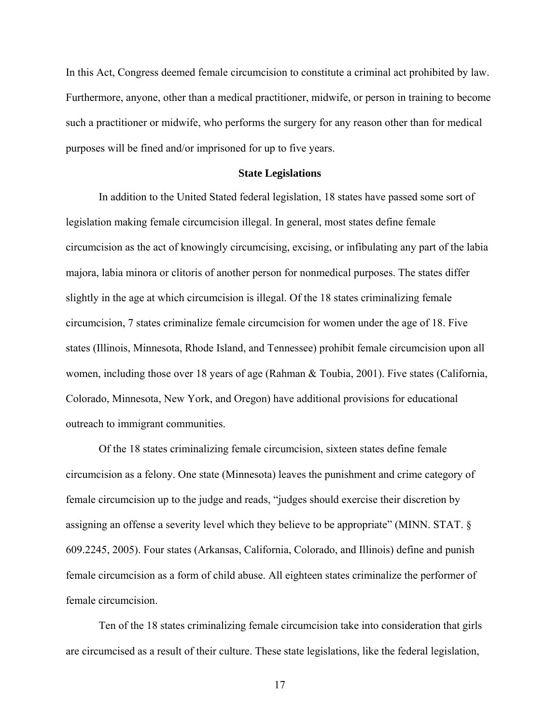<span id="page-16-0"></span>In this Act, Congress deemed female circumcision to constitute a criminal act prohibited by law. Furthermore, anyone, other than a medical practitioner, midwife, or person in training to become such a practitioner or midwife, who performs the surgery for any reason other than for medical purposes will be fined and/or imprisoned for up to five years.

#### **State Legislations**

In addition to the United Stated federal legislation, 18 states have passed some sort of legislation making female circumcision illegal. In general, most states define female circumcision as the act of knowingly circumcising, excising, or infibulating any part of the labia majora, labia minora or clitoris of another person for nonmedical purposes. The states differ slightly in the age at which circumcision is illegal. Of the 18 states criminalizing female circumcision, 7 states criminalize female circumcision for women under the age of 18. Five states (Illinois, Minnesota, Rhode Island, and Tennessee) prohibit female circumcision upon all women, including those over 18 years of age (Rahman & Toubia, 2001). Five states (California, Colorado, Minnesota, New York, and Oregon) have additional provisions for educational outreach to immigrant communities.

 Of the 18 states criminalizing female circumcision, sixteen states define female circumcision as a felony. One state (Minnesota) leaves the punishment and crime category of female circumcision up to the judge and reads, "judges should exercise their discretion by assigning an offense a severity level which they believe to be appropriate" (MINN. STAT. § 609.2245, 2005). Four states (Arkansas, California, Colorado, and Illinois) define and punish female circumcision as a form of child abuse. All eighteen states criminalize the performer of female circumcision.

Ten of the 18 states criminalizing female circumcision take into consideration that girls are circumcised as a result of their culture. These state legislations, like the federal legislation,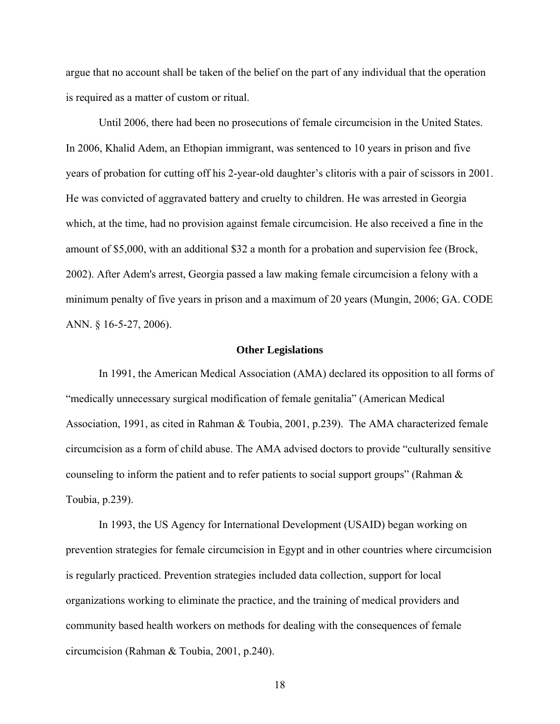<span id="page-17-0"></span>argue that no account shall be taken of the belief on the part of any individual that the operation is required as a matter of custom or ritual.

Until 2006, there had been no prosecutions of female circumcision in the United States. In 2006, Khalid Adem, an Ethopian immigrant, was sentenced to 10 years in prison and five years of probation for cutting off his 2-year-old daughter's clitoris with a pair of scissors in 2001. He was convicted of aggravated battery and cruelty to children. He was arrested in Georgia which, at the time, had no provision against female circumcision. He also received a fine in the amount of \$5,000, with an additional \$32 a month for a probation and supervision fee (Brock, 2002). After Adem's arrest, Georgia passed a law making female circumcision a felony with a minimum penalty of five years in prison and a maximum of 20 years (Mungin, 2006; GA. CODE ANN. § 16-5-27, 2006).

#### **Other Legislations**

In 1991, the American Medical Association (AMA) declared its opposition to all forms of "medically unnecessary surgical modification of female genitalia" (American Medical Association, 1991, as cited in Rahman & Toubia, 2001, p.239). The AMA characterized female circumcision as a form of child abuse. The AMA advised doctors to provide "culturally sensitive counseling to inform the patient and to refer patients to social support groups" (Rahman  $\&$ Toubia, p.239).

 In 1993, the US Agency for International Development (USAID) began working on prevention strategies for female circumcision in Egypt and in other countries where circumcision is regularly practiced. Prevention strategies included data collection, support for local organizations working to eliminate the practice, and the training of medical providers and community based health workers on methods for dealing with the consequences of female circumcision (Rahman & Toubia, 2001, p.240).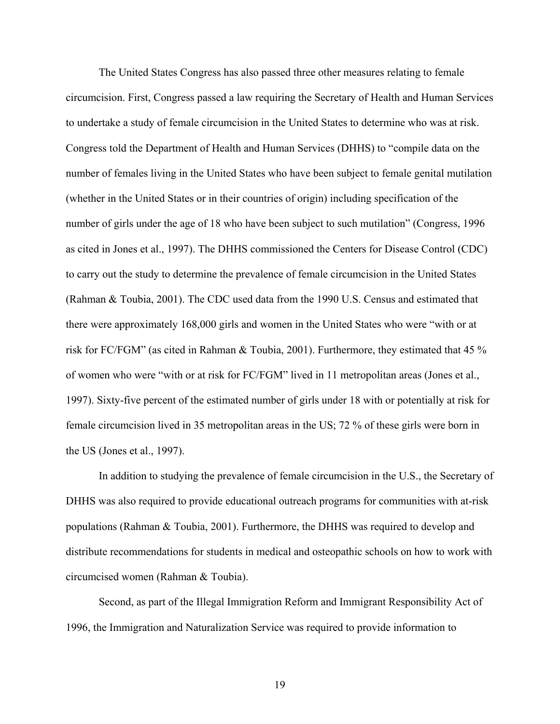The United States Congress has also passed three other measures relating to female circumcision. First, Congress passed a law requiring the Secretary of Health and Human Services to undertake a study of female circumcision in the United States to determine who was at risk. Congress told the Department of Health and Human Services (DHHS) to "compile data on the number of females living in the United States who have been subject to female genital mutilation (whether in the United States or in their countries of origin) including specification of the number of girls under the age of 18 who have been subject to such mutilation" (Congress, 1996 as cited in Jones et al., 1997). The DHHS commissioned the Centers for Disease Control (CDC) to carry out the study to determine the prevalence of female circumcision in the United States (Rahman & Toubia, 2001). The CDC used data from the 1990 U.S. Census and estimated that there were approximately 168,000 girls and women in the United States who were "with or at risk for FC/FGM" (as cited in Rahman & Toubia, 2001). Furthermore, they estimated that 45 % of women who were "with or at risk for FC/FGM" lived in 11 metropolitan areas (Jones et al., 1997). Sixty-five percent of the estimated number of girls under 18 with or potentially at risk for female circumcision lived in 35 metropolitan areas in the US; 72 % of these girls were born in the US (Jones et al., 1997).

In addition to studying the prevalence of female circumcision in the U.S., the Secretary of DHHS was also required to provide educational outreach programs for communities with at-risk populations (Rahman & Toubia, 2001). Furthermore, the DHHS was required to develop and distribute recommendations for students in medical and osteopathic schools on how to work with circumcised women (Rahman & Toubia).

Second, as part of the Illegal Immigration Reform and Immigrant Responsibility Act of 1996, the Immigration and Naturalization Service was required to provide information to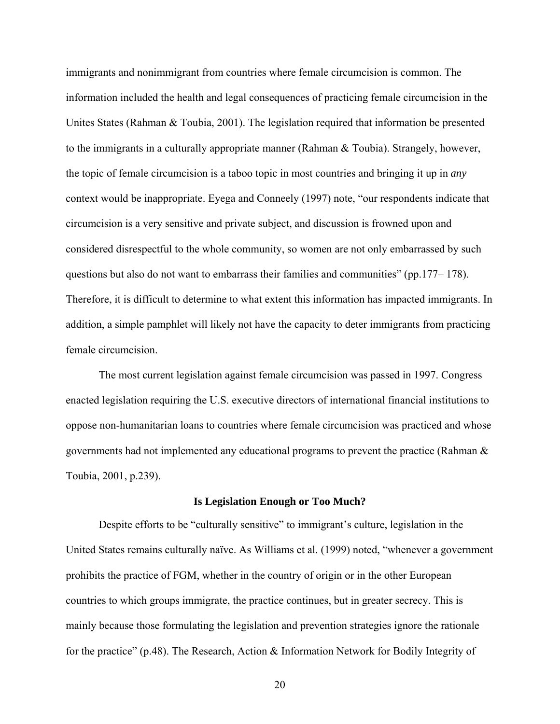<span id="page-19-0"></span>immigrants and nonimmigrant from countries where female circumcision is common. The information included the health and legal consequences of practicing female circumcision in the Unites States (Rahman & Toubia, 2001). The legislation required that information be presented to the immigrants in a culturally appropriate manner (Rahman & Toubia). Strangely, however, the topic of female circumcision is a taboo topic in most countries and bringing it up in *any* context would be inappropriate. Eyega and Conneely (1997) note, "our respondents indicate that circumcision is a very sensitive and private subject, and discussion is frowned upon and considered disrespectful to the whole community, so women are not only embarrassed by such questions but also do not want to embarrass their families and communities" (pp.177– 178). Therefore, it is difficult to determine to what extent this information has impacted immigrants. In addition, a simple pamphlet will likely not have the capacity to deter immigrants from practicing female circumcision.

The most current legislation against female circumcision was passed in 1997. Congress enacted legislation requiring the U.S. executive directors of international financial institutions to oppose non-humanitarian loans to countries where female circumcision was practiced and whose governments had not implemented any educational programs to prevent the practice (Rahman & Toubia, 2001, p.239).

#### **Is Legislation Enough or Too Much?**

Despite efforts to be "culturally sensitive" to immigrant's culture, legislation in the United States remains culturally naïve. As Williams et al. (1999) noted, "whenever a government prohibits the practice of FGM, whether in the country of origin or in the other European countries to which groups immigrate, the practice continues, but in greater secrecy. This is mainly because those formulating the legislation and prevention strategies ignore the rationale for the practice" (p.48). The Research, Action & Information Network for Bodily Integrity of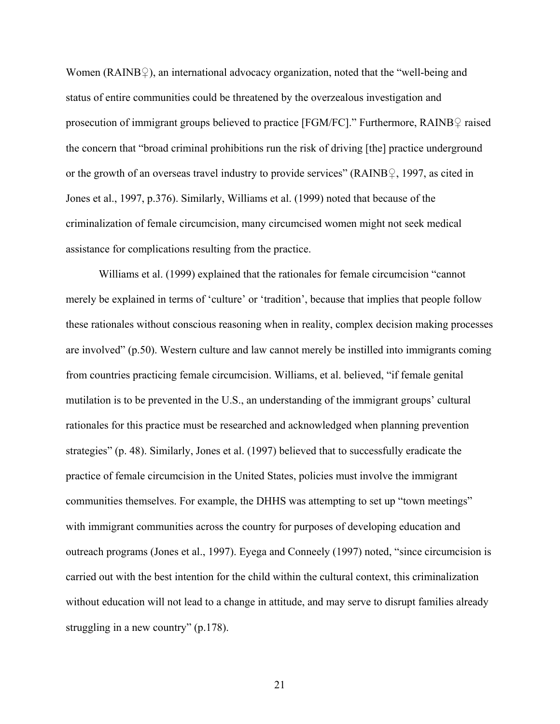Women (RAINB $\circ$ ), an international advocacy organization, noted that the "well-being and status of entire communities could be threatened by the overzealous investigation and prosecution of immigrant groups believed to practice [FGM/FC]." Furthermore, RAINB♀ raised the concern that "broad criminal prohibitions run the risk of driving [the] practice underground or the growth of an overseas travel industry to provide services" (RAINB $\degree$ , 1997, as cited in Jones et al., 1997, p.376). Similarly, Williams et al. (1999) noted that because of the criminalization of female circumcision, many circumcised women might not seek medical assistance for complications resulting from the practice.

Williams et al. (1999) explained that the rationales for female circumcision "cannot merely be explained in terms of 'culture' or 'tradition', because that implies that people follow these rationales without conscious reasoning when in reality, complex decision making processes are involved" (p.50). Western culture and law cannot merely be instilled into immigrants coming from countries practicing female circumcision. Williams, et al. believed, "if female genital mutilation is to be prevented in the U.S., an understanding of the immigrant groups' cultural rationales for this practice must be researched and acknowledged when planning prevention strategies" (p. 48). Similarly, Jones et al. (1997) believed that to successfully eradicate the practice of female circumcision in the United States, policies must involve the immigrant communities themselves. For example, the DHHS was attempting to set up "town meetings" with immigrant communities across the country for purposes of developing education and outreach programs (Jones et al., 1997). Eyega and Conneely (1997) noted, "since circumcision is carried out with the best intention for the child within the cultural context, this criminalization without education will not lead to a change in attitude, and may serve to disrupt families already struggling in a new country" (p.178).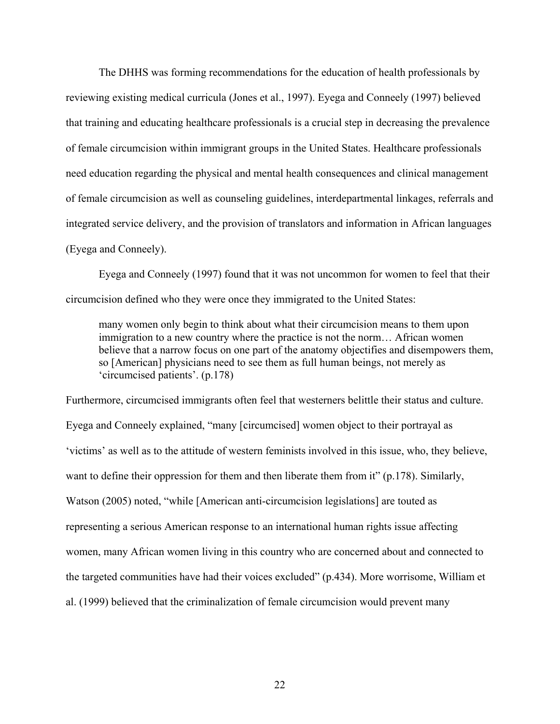The DHHS was forming recommendations for the education of health professionals by reviewing existing medical curricula (Jones et al., 1997). Eyega and Conneely (1997) believed that training and educating healthcare professionals is a crucial step in decreasing the prevalence of female circumcision within immigrant groups in the United States. Healthcare professionals need education regarding the physical and mental health consequences and clinical management of female circumcision as well as counseling guidelines, interdepartmental linkages, referrals and integrated service delivery, and the provision of translators and information in African languages (Eyega and Conneely).

Eyega and Conneely (1997) found that it was not uncommon for women to feel that their circumcision defined who they were once they immigrated to the United States:

many women only begin to think about what their circumcision means to them upon immigration to a new country where the practice is not the norm… African women believe that a narrow focus on one part of the anatomy objectifies and disempowers them, so [American] physicians need to see them as full human beings, not merely as 'circumcised patients'. (p.178)

Furthermore, circumcised immigrants often feel that westerners belittle their status and culture. Eyega and Conneely explained, "many [circumcised] women object to their portrayal as 'victims' as well as to the attitude of western feminists involved in this issue, who, they believe, want to define their oppression for them and then liberate them from it" (p.178). Similarly, Watson (2005) noted, "while [American anti-circumcision legislations] are touted as representing a serious American response to an international human rights issue affecting women, many African women living in this country who are concerned about and connected to the targeted communities have had their voices excluded" (p.434). More worrisome, William et al. (1999) believed that the criminalization of female circumcision would prevent many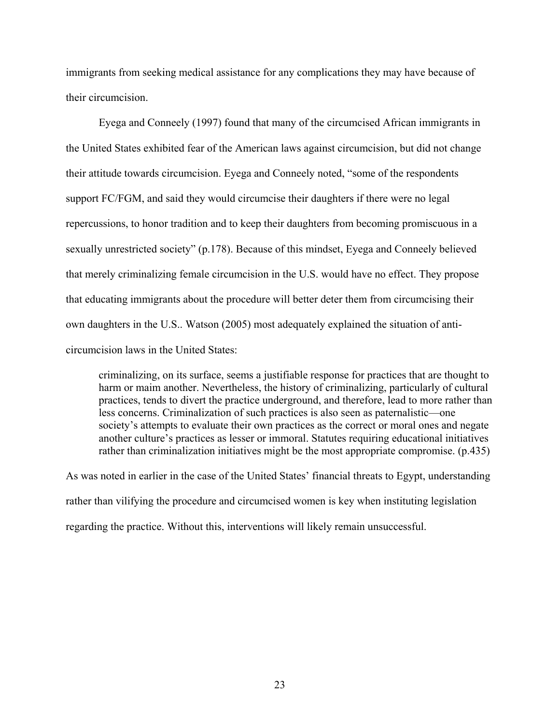immigrants from seeking medical assistance for any complications they may have because of their circumcision.

Eyega and Conneely (1997) found that many of the circumcised African immigrants in the United States exhibited fear of the American laws against circumcision, but did not change their attitude towards circumcision. Eyega and Conneely noted, "some of the respondents support FC/FGM, and said they would circumcise their daughters if there were no legal repercussions, to honor tradition and to keep their daughters from becoming promiscuous in a sexually unrestricted society" (p.178). Because of this mindset, Eyega and Conneely believed that merely criminalizing female circumcision in the U.S. would have no effect. They propose that educating immigrants about the procedure will better deter them from circumcising their own daughters in the U.S.. Watson (2005) most adequately explained the situation of anticircumcision laws in the United States:

criminalizing, on its surface, seems a justifiable response for practices that are thought to harm or maim another. Nevertheless, the history of criminalizing, particularly of cultural practices, tends to divert the practice underground, and therefore, lead to more rather than less concerns. Criminalization of such practices is also seen as paternalistic—one society's attempts to evaluate their own practices as the correct or moral ones and negate another culture's practices as lesser or immoral. Statutes requiring educational initiatives rather than criminalization initiatives might be the most appropriate compromise. (p.435)

As was noted in earlier in the case of the United States' financial threats to Egypt, understanding rather than vilifying the procedure and circumcised women is key when instituting legislation regarding the practice. Without this, interventions will likely remain unsuccessful.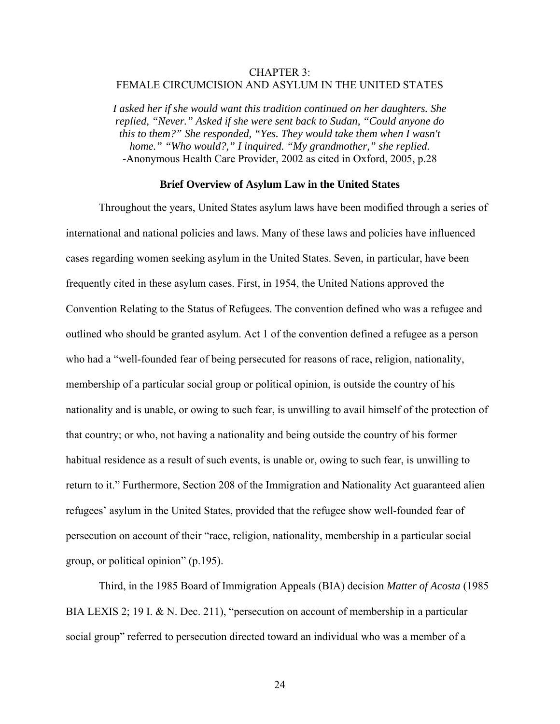### <span id="page-23-0"></span>CHAPTER 3: FEMALE CIRCUMCISION AND ASYLUM IN THE UNITED STATES

*I asked her if she would want this tradition continued on her daughters. She replied, "Never." Asked if she were sent back to Sudan, "Could anyone do this to them?" She responded, "Yes. They would take them when I wasn't home." "Who would?," I inquired. "My grandmother," she replied.* -Anonymous Health Care Provider, 2002 as cited in Oxford, 2005, p.28

#### **Brief Overview of Asylum Law in the United States**

Throughout the years, United States asylum laws have been modified through a series of international and national policies and laws. Many of these laws and policies have influenced cases regarding women seeking asylum in the United States. Seven, in particular, have been frequently cited in these asylum cases. First, in 1954, the United Nations approved the Convention Relating to the Status of Refugees. The convention defined who was a refugee and outlined who should be granted asylum. Act 1 of the convention defined a refugee as a person who had a "well-founded fear of being persecuted for reasons of race, religion, nationality, membership of a particular social group or political opinion, is outside the country of his nationality and is unable, or owing to such fear, is unwilling to avail himself of the protection of that country; or who, not having a nationality and being outside the country of his former habitual residence as a result of such events, is unable or, owing to such fear, is unwilling to return to it." Furthermore, Section 208 of the Immigration and Nationality Act guaranteed alien refugees' asylum in the United States, provided that the refugee show well-founded fear of persecution on account of their "race, religion, nationality, membership in a particular social group, or political opinion" (p.195).

 Third, in the 1985 Board of Immigration Appeals (BIA) decision *Matter of Acosta* (1985 BIA LEXIS 2; 19 I. & N. Dec. 211), "persecution on account of membership in a particular social group" referred to persecution directed toward an individual who was a member of a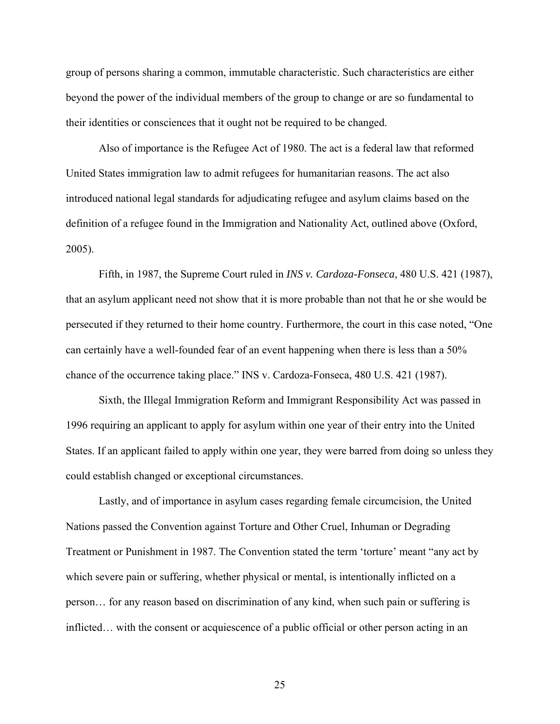group of persons sharing a common, immutable characteristic. Such characteristics are either beyond the power of the individual members of the group to change or are so fundamental to their identities or consciences that it ought not be required to be changed.

 Also of importance is the Refugee Act of 1980. The act is a federal law that reformed United States immigration law to admit refugees for humanitarian reasons. The act also introduced national legal standards for adjudicating refugee and asylum claims based on the definition of a refugee found in the Immigration and Nationality Act, outlined above (Oxford, 2005).

Fifth, in 1987, the Supreme Court ruled in *INS v. Cardoza-Fonseca*, 480 U.S. 421 (1987), that an asylum applicant need not show that it is more probable than not that he or she would be persecuted if they returned to their home country. Furthermore, the court in this case noted, "One can certainly have a well-founded fear of an event happening when there is less than a 50% chance of the occurrence taking place." INS v. Cardoza-Fonseca, 480 U.S. 421 (1987).

 Sixth, the Illegal Immigration Reform and Immigrant Responsibility Act was passed in 1996 requiring an applicant to apply for asylum within one year of their entry into the United States. If an applicant failed to apply within one year, they were barred from doing so unless they could establish changed or exceptional circumstances.

 Lastly, and of importance in asylum cases regarding female circumcision, the United Nations passed the Convention against Torture and Other Cruel, Inhuman or Degrading Treatment or Punishment in 1987. The Convention stated the term 'torture' meant "any act by which severe pain or suffering, whether physical or mental, is intentionally inflicted on a person… for any reason based on discrimination of any kind, when such pain or suffering is inflicted… with the consent or acquiescence of a public official or other person acting in an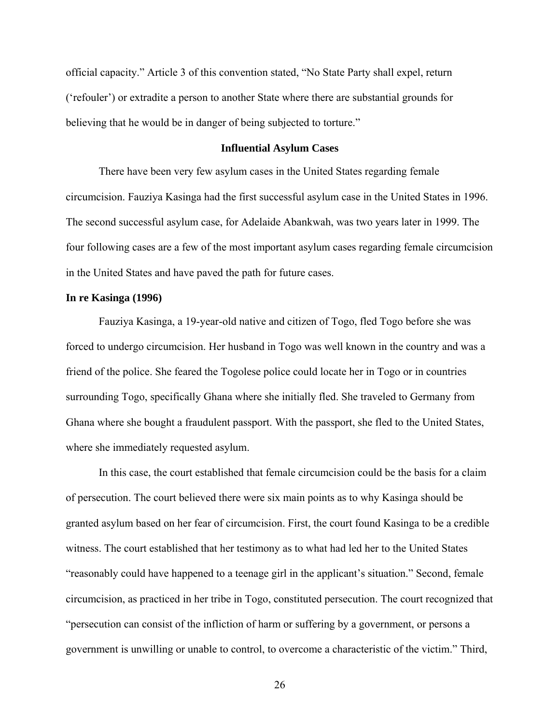<span id="page-25-0"></span>official capacity." Article 3 of this convention stated, "No State Party shall expel, return ('refouler') or extradite a person to another State where there are substantial grounds for believing that he would be in danger of being subjected to torture."

#### **Influential Asylum Cases**

There have been very few asylum cases in the United States regarding female circumcision. Fauziya Kasinga had the first successful asylum case in the United States in 1996. The second successful asylum case, for Adelaide Abankwah, was two years later in 1999. The four following cases are a few of the most important asylum cases regarding female circumcision in the United States and have paved the path for future cases.

### **In re Kasinga (1996)**

Fauziya Kasinga, a 19-year-old native and citizen of Togo, fled Togo before she was forced to undergo circumcision. Her husband in Togo was well known in the country and was a friend of the police. She feared the Togolese police could locate her in Togo or in countries surrounding Togo, specifically Ghana where she initially fled. She traveled to Germany from Ghana where she bought a fraudulent passport. With the passport, she fled to the United States, where she immediately requested asylum.

In this case, the court established that female circumcision could be the basis for a claim of persecution. The court believed there were six main points as to why Kasinga should be granted asylum based on her fear of circumcision. First, the court found Kasinga to be a credible witness. The court established that her testimony as to what had led her to the United States "reasonably could have happened to a teenage girl in the applicant's situation." Second, female circumcision, as practiced in her tribe in Togo, constituted persecution. The court recognized that "persecution can consist of the infliction of harm or suffering by a government, or persons a government is unwilling or unable to control, to overcome a characteristic of the victim." Third,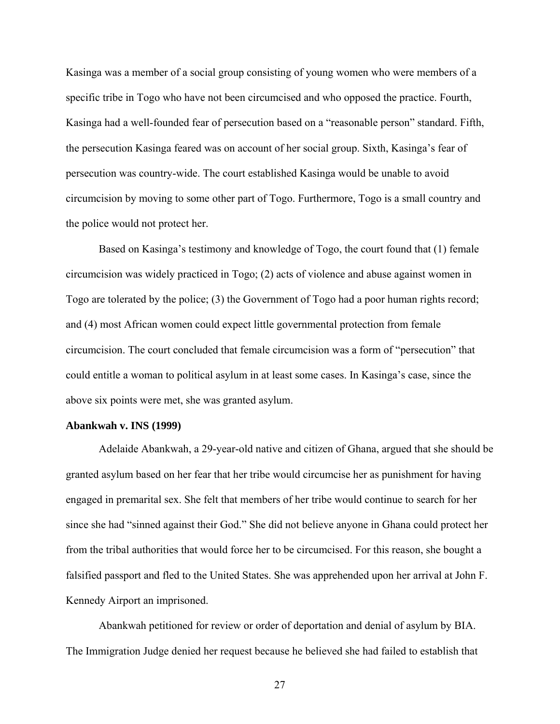<span id="page-26-0"></span>Kasinga was a member of a social group consisting of young women who were members of a specific tribe in Togo who have not been circumcised and who opposed the practice. Fourth, Kasinga had a well-founded fear of persecution based on a "reasonable person" standard. Fifth, the persecution Kasinga feared was on account of her social group. Sixth, Kasinga's fear of persecution was country-wide. The court established Kasinga would be unable to avoid circumcision by moving to some other part of Togo. Furthermore, Togo is a small country and the police would not protect her.

Based on Kasinga's testimony and knowledge of Togo, the court found that (1) female circumcision was widely practiced in Togo; (2) acts of violence and abuse against women in Togo are tolerated by the police; (3) the Government of Togo had a poor human rights record; and (4) most African women could expect little governmental protection from female circumcision. The court concluded that female circumcision was a form of "persecution" that could entitle a woman to political asylum in at least some cases. In Kasinga's case, since the above six points were met, she was granted asylum.

#### **Abankwah v. INS (1999)**

Adelaide Abankwah, a 29-year-old native and citizen of Ghana, argued that she should be granted asylum based on her fear that her tribe would circumcise her as punishment for having engaged in premarital sex. She felt that members of her tribe would continue to search for her since she had "sinned against their God." She did not believe anyone in Ghana could protect her from the tribal authorities that would force her to be circumcised. For this reason, she bought a falsified passport and fled to the United States. She was apprehended upon her arrival at John F. Kennedy Airport an imprisoned.

Abankwah petitioned for review or order of deportation and denial of asylum by BIA. The Immigration Judge denied her request because he believed she had failed to establish that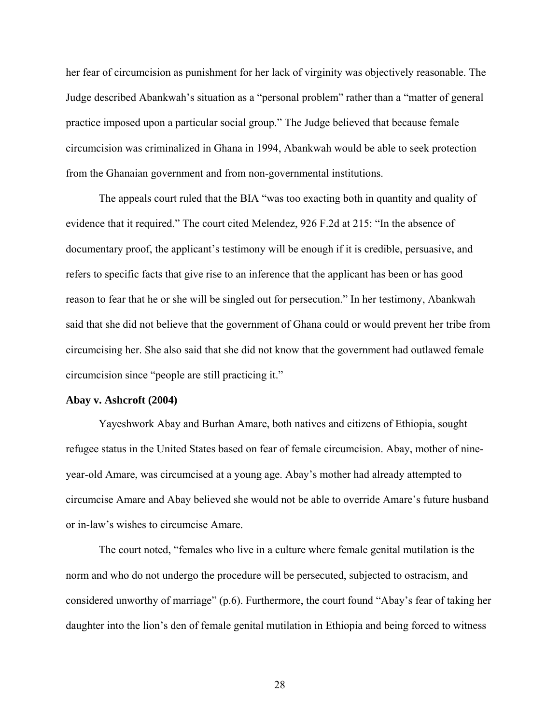<span id="page-27-0"></span>her fear of circumcision as punishment for her lack of virginity was objectively reasonable. The Judge described Abankwah's situation as a "personal problem" rather than a "matter of general practice imposed upon a particular social group." The Judge believed that because female circumcision was criminalized in Ghana in 1994, Abankwah would be able to seek protection from the Ghanaian government and from non-governmental institutions.

The appeals court ruled that the BIA "was too exacting both in quantity and quality of evidence that it required." The court cited Melendez, 926 F.2d at 215: "In the absence of documentary proof, the applicant's testimony will be enough if it is credible, persuasive, and refers to specific facts that give rise to an inference that the applicant has been or has good reason to fear that he or she will be singled out for persecution." In her testimony, Abankwah said that she did not believe that the government of Ghana could or would prevent her tribe from circumcising her. She also said that she did not know that the government had outlawed female circumcision since "people are still practicing it."

#### **Abay v. Ashcroft (2004)**

 Yayeshwork Abay and Burhan Amare, both natives and citizens of Ethiopia, sought refugee status in the United States based on fear of female circumcision. Abay, mother of nineyear-old Amare, was circumcised at a young age. Abay's mother had already attempted to circumcise Amare and Abay believed she would not be able to override Amare's future husband or in-law's wishes to circumcise Amare.

 The court noted, "females who live in a culture where female genital mutilation is the norm and who do not undergo the procedure will be persecuted, subjected to ostracism, and considered unworthy of marriage" (p.6). Furthermore, the court found "Abay's fear of taking her daughter into the lion's den of female genital mutilation in Ethiopia and being forced to witness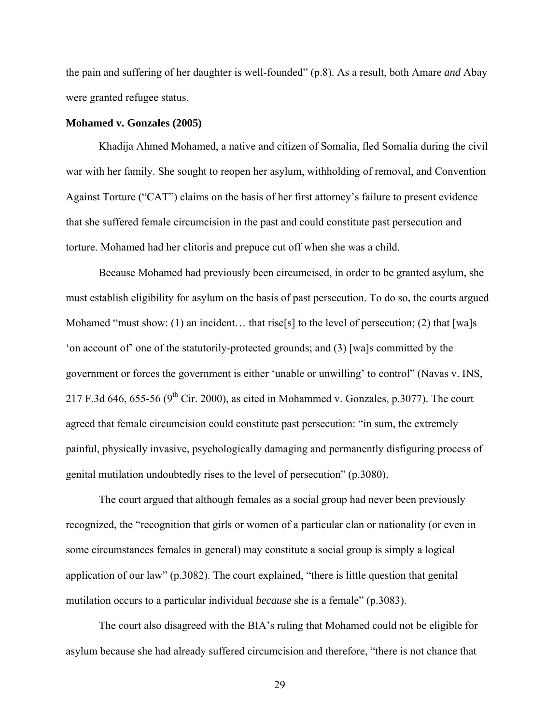<span id="page-28-0"></span>the pain and suffering of her daughter is well-founded" (p.8). As a result, both Amare *and* Abay were granted refugee status.

### **Mohamed v. Gonzales (2005)**

Khadija Ahmed Mohamed, a native and citizen of Somalia, fled Somalia during the civil war with her family. She sought to reopen her asylum, withholding of removal, and Convention Against Torture ("CAT") claims on the basis of her first attorney's failure to present evidence that she suffered female circumcision in the past and could constitute past persecution and torture. Mohamed had her clitoris and prepuce cut off when she was a child.

Because Mohamed had previously been circumcised, in order to be granted asylum, she must establish eligibility for asylum on the basis of past persecution. To do so, the courts argued Mohamed "must show: (1) an incident... that rise[s] to the level of persecution; (2) that [wa]s 'on account of' one of the statutorily-protected grounds; and (3) [wa]s committed by the government or forces the government is either 'unable or unwilling' to control" (Navas v. INS, 217 F.3d 646, 655-56 ( $9<sup>th</sup>$  Cir. 2000), as cited in Mohammed v. Gonzales, p.3077). The court agreed that female circumcision could constitute past persecution: "in sum, the extremely painful, physically invasive, psychologically damaging and permanently disfiguring process of genital mutilation undoubtedly rises to the level of persecution" (p.3080).

The court argued that although females as a social group had never been previously recognized, the "recognition that girls or women of a particular clan or nationality (or even in some circumstances females in general) may constitute a social group is simply a logical application of our law" (p.3082). The court explained, "there is little question that genital mutilation occurs to a particular individual *because* she is a female" (p.3083).

The court also disagreed with the BIA's ruling that Mohamed could not be eligible for asylum because she had already suffered circumcision and therefore, "there is not chance that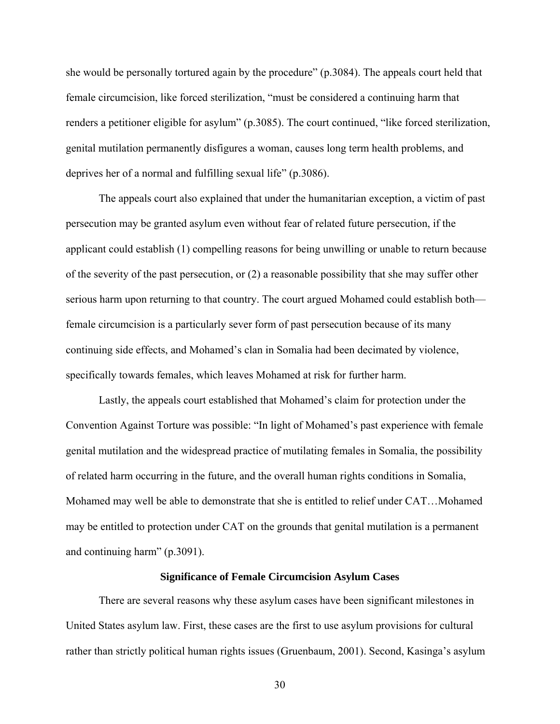<span id="page-29-0"></span>she would be personally tortured again by the procedure" (p.3084). The appeals court held that female circumcision, like forced sterilization, "must be considered a continuing harm that renders a petitioner eligible for asylum" (p.3085). The court continued, "like forced sterilization, genital mutilation permanently disfigures a woman, causes long term health problems, and deprives her of a normal and fulfilling sexual life" (p.3086).

The appeals court also explained that under the humanitarian exception, a victim of past persecution may be granted asylum even without fear of related future persecution, if the applicant could establish (1) compelling reasons for being unwilling or unable to return because of the severity of the past persecution, or (2) a reasonable possibility that she may suffer other serious harm upon returning to that country. The court argued Mohamed could establish both female circumcision is a particularly sever form of past persecution because of its many continuing side effects, and Mohamed's clan in Somalia had been decimated by violence, specifically towards females, which leaves Mohamed at risk for further harm.

Lastly, the appeals court established that Mohamed's claim for protection under the Convention Against Torture was possible: "In light of Mohamed's past experience with female genital mutilation and the widespread practice of mutilating females in Somalia, the possibility of related harm occurring in the future, and the overall human rights conditions in Somalia, Mohamed may well be able to demonstrate that she is entitled to relief under CAT…Mohamed may be entitled to protection under CAT on the grounds that genital mutilation is a permanent and continuing harm" (p.3091).

#### **Significance of Female Circumcision Asylum Cases**

There are several reasons why these asylum cases have been significant milestones in United States asylum law. First, these cases are the first to use asylum provisions for cultural rather than strictly political human rights issues (Gruenbaum, 2001). Second, Kasinga's asylum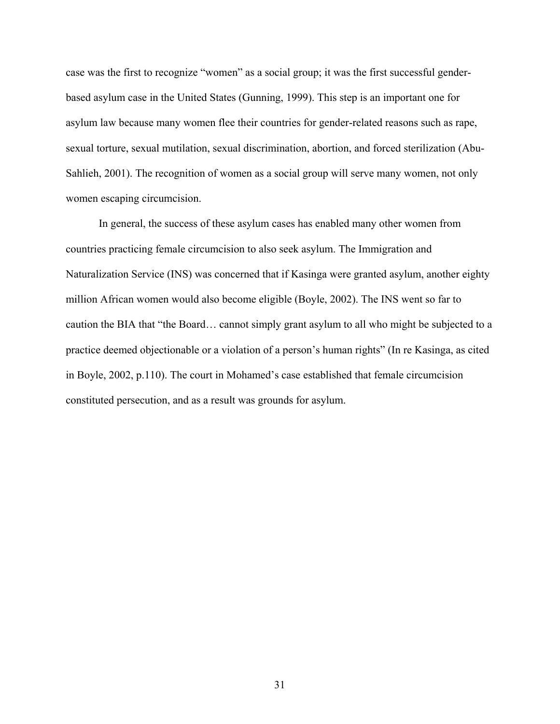case was the first to recognize "women" as a social group; it was the first successful genderbased asylum case in the United States (Gunning, 1999). This step is an important one for asylum law because many women flee their countries for gender-related reasons such as rape, sexual torture, sexual mutilation, sexual discrimination, abortion, and forced sterilization (Abu-Sahlieh, 2001). The recognition of women as a social group will serve many women, not only women escaping circumcision.

In general, the success of these asylum cases has enabled many other women from countries practicing female circumcision to also seek asylum. The Immigration and Naturalization Service (INS) was concerned that if Kasinga were granted asylum, another eighty million African women would also become eligible (Boyle, 2002). The INS went so far to caution the BIA that "the Board… cannot simply grant asylum to all who might be subjected to a practice deemed objectionable or a violation of a person's human rights" (In re Kasinga, as cited in Boyle, 2002, p.110). The court in Mohamed's case established that female circumcision constituted persecution, and as a result was grounds for asylum.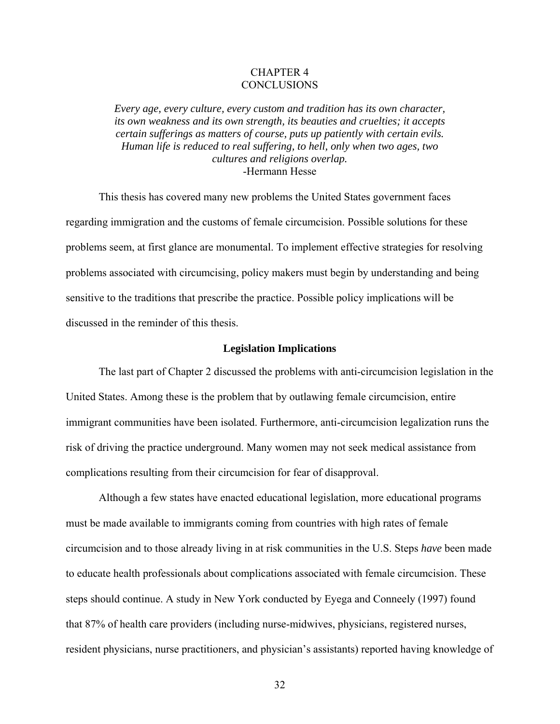### CHAPTER 4 **CONCLUSIONS**

<span id="page-31-0"></span>*Every age, every culture, every custom and tradition has its own character, its own weakness and its own strength, its beauties and cruelties; it accepts certain sufferings as matters of course, puts up patiently with certain evils. Human life is reduced to real suffering, to hell, only when two ages, two cultures and religions overlap.*  -Hermann Hesse

This thesis has covered many new problems the United States government faces regarding immigration and the customs of female circumcision. Possible solutions for these problems seem, at first glance are monumental. To implement effective strategies for resolving problems associated with circumcising, policy makers must begin by understanding and being sensitive to the traditions that prescribe the practice. Possible policy implications will be discussed in the reminder of this thesis.

#### **Legislation Implications**

The last part of Chapter 2 discussed the problems with anti-circumcision legislation in the United States. Among these is the problem that by outlawing female circumcision, entire immigrant communities have been isolated. Furthermore, anti-circumcision legalization runs the risk of driving the practice underground. Many women may not seek medical assistance from complications resulting from their circumcision for fear of disapproval.

Although a few states have enacted educational legislation, more educational programs must be made available to immigrants coming from countries with high rates of female circumcision and to those already living in at risk communities in the U.S. Steps *have* been made to educate health professionals about complications associated with female circumcision. These steps should continue. A study in New York conducted by Eyega and Conneely (1997) found that 87% of health care providers (including nurse-midwives, physicians, registered nurses, resident physicians, nurse practitioners, and physician's assistants) reported having knowledge of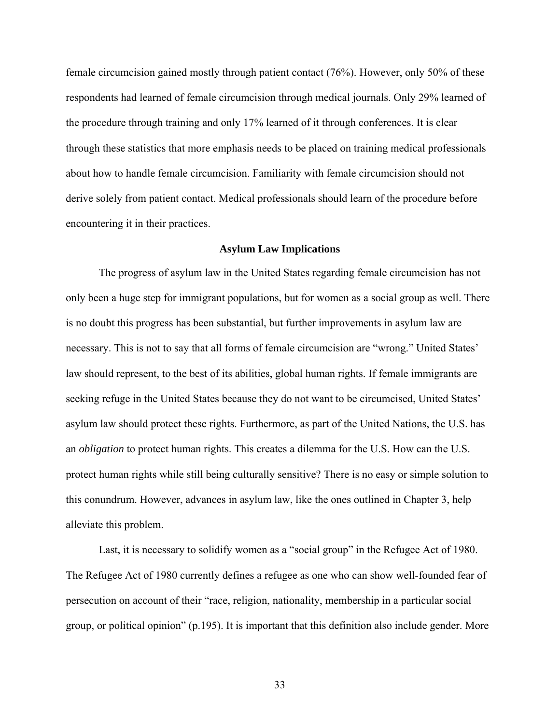<span id="page-32-0"></span>female circumcision gained mostly through patient contact (76%). However, only 50% of these respondents had learned of female circumcision through medical journals. Only 29% learned of the procedure through training and only 17% learned of it through conferences. It is clear through these statistics that more emphasis needs to be placed on training medical professionals about how to handle female circumcision. Familiarity with female circumcision should not derive solely from patient contact. Medical professionals should learn of the procedure before encountering it in their practices.

#### **Asylum Law Implications**

 The progress of asylum law in the United States regarding female circumcision has not only been a huge step for immigrant populations, but for women as a social group as well. There is no doubt this progress has been substantial, but further improvements in asylum law are necessary. This is not to say that all forms of female circumcision are "wrong." United States' law should represent, to the best of its abilities, global human rights. If female immigrants are seeking refuge in the United States because they do not want to be circumcised, United States' asylum law should protect these rights. Furthermore, as part of the United Nations, the U.S. has an *obligation* to protect human rights. This creates a dilemma for the U.S. How can the U.S. protect human rights while still being culturally sensitive? There is no easy or simple solution to this conundrum. However, advances in asylum law, like the ones outlined in Chapter 3, help alleviate this problem.

Last, it is necessary to solidify women as a "social group" in the Refugee Act of 1980. The Refugee Act of 1980 currently defines a refugee as one who can show well-founded fear of persecution on account of their "race, religion, nationality, membership in a particular social group, or political opinion" (p.195). It is important that this definition also include gender. More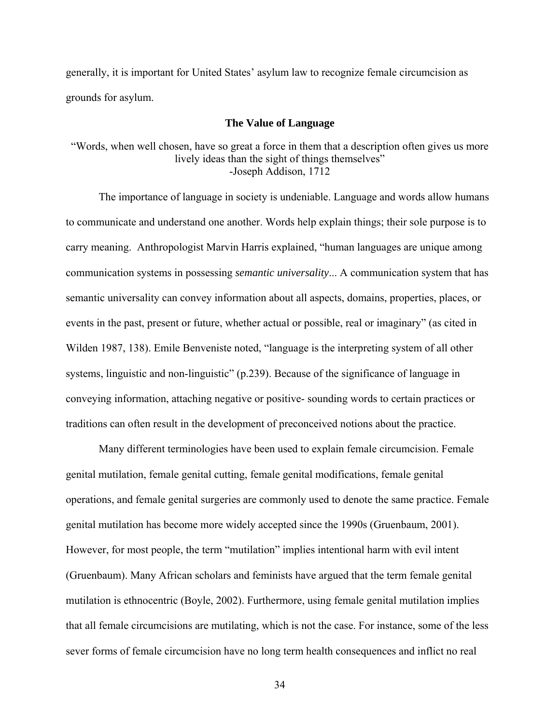<span id="page-33-0"></span>generally, it is important for United States' asylum law to recognize female circumcision as grounds for asylum.

#### **The Value of Language**

"Words, when well chosen, have so great a force in them that a description often gives us more lively ideas than the sight of things themselves" -Joseph Addison, 1712

The importance of language in society is undeniable. Language and words allow humans to communicate and understand one another. Words help explain things; their sole purpose is to carry meaning. Anthropologist Marvin Harris explained, "human languages are unique among communication systems in possessing *semantic universality*... A communication system that has semantic universality can convey information about all aspects, domains, properties, places, or events in the past, present or future, whether actual or possible, real or imaginary" (as cited in Wilden 1987, 138). Emile Benveniste noted, "language is the interpreting system of all other systems, linguistic and non-linguistic" (p.239). Because of the significance of language in conveying information, attaching negative or positive- sounding words to certain practices or traditions can often result in the development of preconceived notions about the practice.

Many different terminologies have been used to explain female circumcision. Female genital mutilation, female genital cutting, female genital modifications, female genital operations, and female genital surgeries are commonly used to denote the same practice. Female genital mutilation has become more widely accepted since the 1990s (Gruenbaum, 2001). However, for most people, the term "mutilation" implies intentional harm with evil intent (Gruenbaum). Many African scholars and feminists have argued that the term female genital mutilation is ethnocentric (Boyle, 2002). Furthermore, using female genital mutilation implies that all female circumcisions are mutilating, which is not the case. For instance, some of the less sever forms of female circumcision have no long term health consequences and inflict no real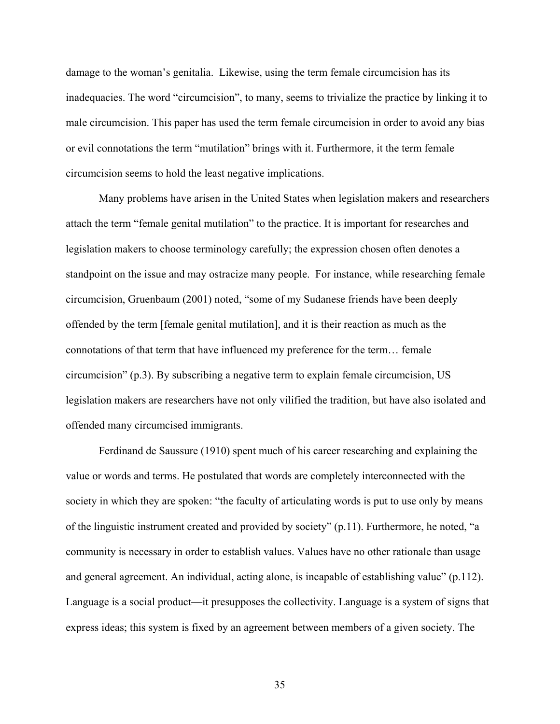damage to the woman's genitalia. Likewise, using the term female circumcision has its inadequacies. The word "circumcision", to many, seems to trivialize the practice by linking it to male circumcision. This paper has used the term female circumcision in order to avoid any bias or evil connotations the term "mutilation" brings with it. Furthermore, it the term female circumcision seems to hold the least negative implications.

Many problems have arisen in the United States when legislation makers and researchers attach the term "female genital mutilation" to the practice. It is important for researches and legislation makers to choose terminology carefully; the expression chosen often denotes a standpoint on the issue and may ostracize many people. For instance, while researching female circumcision, Gruenbaum (2001) noted, "some of my Sudanese friends have been deeply offended by the term [female genital mutilation], and it is their reaction as much as the connotations of that term that have influenced my preference for the term… female circumcision" (p.3). By subscribing a negative term to explain female circumcision, US legislation makers are researchers have not only vilified the tradition, but have also isolated and offended many circumcised immigrants.

Ferdinand de Saussure (1910) spent much of his career researching and explaining the value or words and terms. He postulated that words are completely interconnected with the society in which they are spoken: "the faculty of articulating words is put to use only by means of the linguistic instrument created and provided by society" (p.11). Furthermore, he noted, "a community is necessary in order to establish values. Values have no other rationale than usage and general agreement. An individual, acting alone, is incapable of establishing value" (p.112). Language is a social product—it presupposes the collectivity. Language is a system of signs that express ideas; this system is fixed by an agreement between members of a given society. The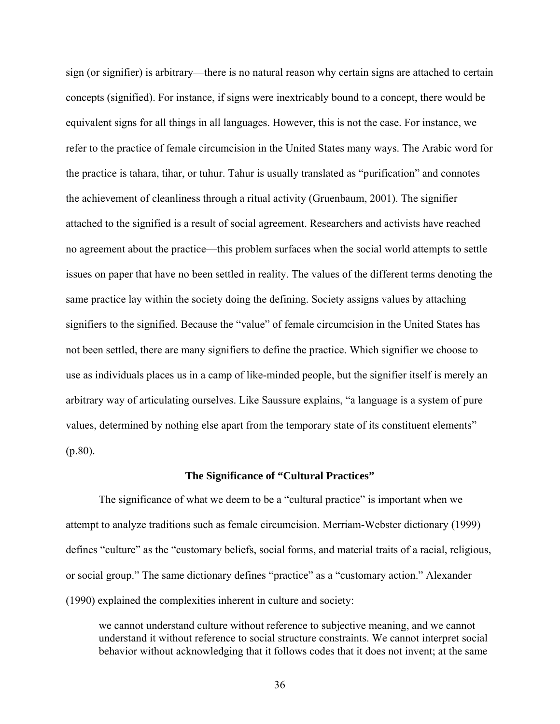<span id="page-35-0"></span>sign (or signifier) is arbitrary—there is no natural reason why certain signs are attached to certain concepts (signified). For instance, if signs were inextricably bound to a concept, there would be equivalent signs for all things in all languages. However, this is not the case. For instance, we refer to the practice of female circumcision in the United States many ways. The Arabic word for the practice is tahara, tihar, or tuhur. Tahur is usually translated as "purification" and connotes the achievement of cleanliness through a ritual activity (Gruenbaum, 2001). The signifier attached to the signified is a result of social agreement. Researchers and activists have reached no agreement about the practice—this problem surfaces when the social world attempts to settle issues on paper that have no been settled in reality. The values of the different terms denoting the same practice lay within the society doing the defining. Society assigns values by attaching signifiers to the signified. Because the "value" of female circumcision in the United States has not been settled, there are many signifiers to define the practice. Which signifier we choose to use as individuals places us in a camp of like-minded people, but the signifier itself is merely an arbitrary way of articulating ourselves. Like Saussure explains, "a language is a system of pure values, determined by nothing else apart from the temporary state of its constituent elements" (p.80).

#### **The Significance of "Cultural Practices"**

The significance of what we deem to be a "cultural practice" is important when we attempt to analyze traditions such as female circumcision. Merriam-Webster dictionary (1999) defines "culture" as the "customary beliefs, social forms, and material traits of a racial, religious, or social group." The same dictionary defines "practice" as a "customary action." Alexander (1990) explained the complexities inherent in culture and society:

we cannot understand culture without reference to subjective meaning, and we cannot understand it without reference to social structure constraints. We cannot interpret social behavior without acknowledging that it follows codes that it does not invent; at the same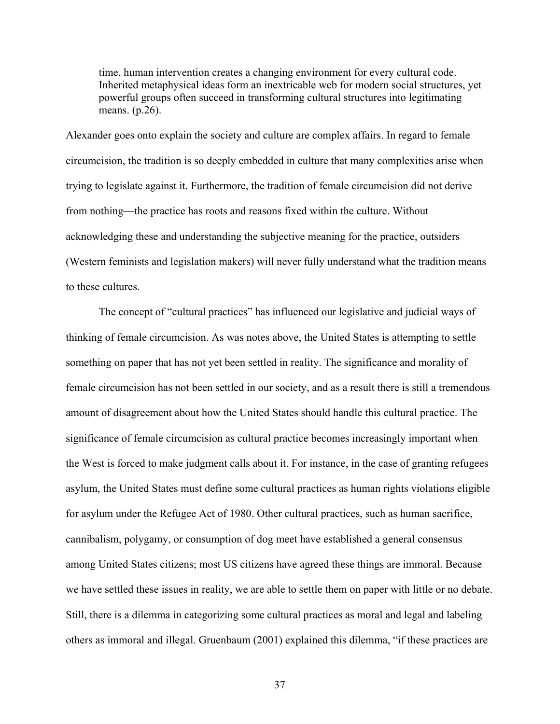time, human intervention creates a changing environment for every cultural code. Inherited metaphysical ideas form an inextricable web for modern social structures, yet powerful groups often succeed in transforming cultural structures into legitimating means. (p.26).

Alexander goes onto explain the society and culture are complex affairs. In regard to female circumcision, the tradition is so deeply embedded in culture that many complexities arise when trying to legislate against it. Furthermore, the tradition of female circumcision did not derive from nothing—the practice has roots and reasons fixed within the culture. Without acknowledging these and understanding the subjective meaning for the practice, outsiders (Western feminists and legislation makers) will never fully understand what the tradition means to these cultures.

 The concept of "cultural practices" has influenced our legislative and judicial ways of thinking of female circumcision. As was notes above, the United States is attempting to settle something on paper that has not yet been settled in reality. The significance and morality of female circumcision has not been settled in our society, and as a result there is still a tremendous amount of disagreement about how the United States should handle this cultural practice. The significance of female circumcision as cultural practice becomes increasingly important when the West is forced to make judgment calls about it. For instance, in the case of granting refugees asylum, the United States must define some cultural practices as human rights violations eligible for asylum under the Refugee Act of 1980. Other cultural practices, such as human sacrifice, cannibalism, polygamy, or consumption of dog meet have established a general consensus among United States citizens; most US citizens have agreed these things are immoral. Because we have settled these issues in reality, we are able to settle them on paper with little or no debate. Still, there is a dilemma in categorizing some cultural practices as moral and legal and labeling others as immoral and illegal. Gruenbaum (2001) explained this dilemma, "if these practices are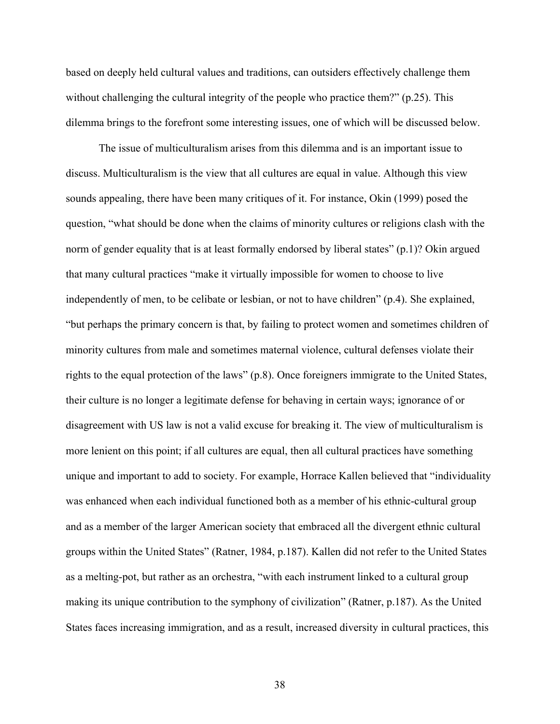based on deeply held cultural values and traditions, can outsiders effectively challenge them without challenging the cultural integrity of the people who practice them?" (p.25). This dilemma brings to the forefront some interesting issues, one of which will be discussed below.

 The issue of multiculturalism arises from this dilemma and is an important issue to discuss. Multiculturalism is the view that all cultures are equal in value. Although this view sounds appealing, there have been many critiques of it. For instance, Okin (1999) posed the question, "what should be done when the claims of minority cultures or religions clash with the norm of gender equality that is at least formally endorsed by liberal states" (p.1)? Okin argued that many cultural practices "make it virtually impossible for women to choose to live independently of men, to be celibate or lesbian, or not to have children" (p.4). She explained, "but perhaps the primary concern is that, by failing to protect women and sometimes children of minority cultures from male and sometimes maternal violence, cultural defenses violate their rights to the equal protection of the laws" (p.8). Once foreigners immigrate to the United States, their culture is no longer a legitimate defense for behaving in certain ways; ignorance of or disagreement with US law is not a valid excuse for breaking it. The view of multiculturalism is more lenient on this point; if all cultures are equal, then all cultural practices have something unique and important to add to society. For example, Horrace Kallen believed that "individuality was enhanced when each individual functioned both as a member of his ethnic-cultural group and as a member of the larger American society that embraced all the divergent ethnic cultural groups within the United States" (Ratner, 1984, p.187). Kallen did not refer to the United States as a melting-pot, but rather as an orchestra, "with each instrument linked to a cultural group making its unique contribution to the symphony of civilization" (Ratner, p.187). As the United States faces increasing immigration, and as a result, increased diversity in cultural practices, this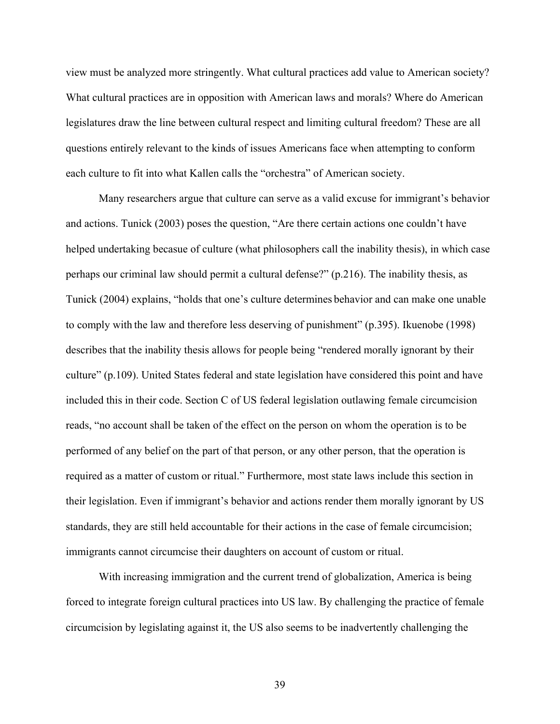view must be analyzed more stringently. What cultural practices add value to American society? What cultural practices are in opposition with American laws and morals? Where do American legislatures draw the line between cultural respect and limiting cultural freedom? These are all questions entirely relevant to the kinds of issues Americans face when attempting to conform each culture to fit into what Kallen calls the "orchestra" of American society.

Many researchers argue that culture can serve as a valid excuse for immigrant's behavior and actions. Tunick (2003) poses the question, "Are there certain actions one couldn't have helped undertaking becasue of culture (what philosophers call the inability thesis), in which case perhaps our criminal law should permit a cultural defense?" (p.216). The inability thesis, as Tunick (2004) explains, "holds that one's culture determines behavior and can make one unable to comply with the law and therefore less deserving of punishment" (p.395). Ikuenobe (1998) describes that the inability thesis allows for people being "rendered morally ignorant by their culture" (p.109). United States federal and state legislation have considered this point and have included this in their code. Section C of US federal legislation outlawing female circumcision reads, "no account shall be taken of the effect on the person on whom the operation is to be performed of any belief on the part of that person, or any other person, that the operation is required as a matter of custom or ritual." Furthermore, most state laws include this section in their legislation. Even if immigrant's behavior and actions render them morally ignorant by US standards, they are still held accountable for their actions in the case of female circumcision; immigrants cannot circumcise their daughters on account of custom or ritual.

With increasing immigration and the current trend of globalization, America is being forced to integrate foreign cultural practices into US law. By challenging the practice of female circumcision by legislating against it, the US also seems to be inadvertently challenging the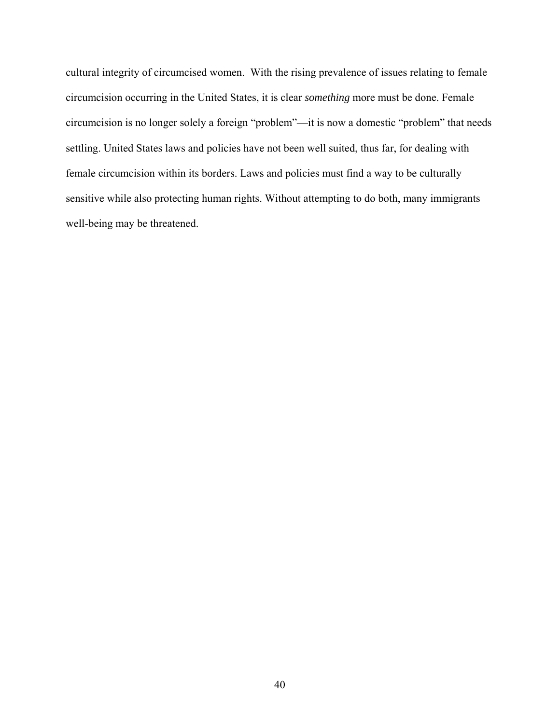cultural integrity of circumcised women. With the rising prevalence of issues relating to female circumcision occurring in the United States, it is clear *something* more must be done. Female circumcision is no longer solely a foreign "problem"—it is now a domestic "problem" that needs settling. United States laws and policies have not been well suited, thus far, for dealing with female circumcision within its borders. Laws and policies must find a way to be culturally sensitive while also protecting human rights. Without attempting to do both, many immigrants well-being may be threatened.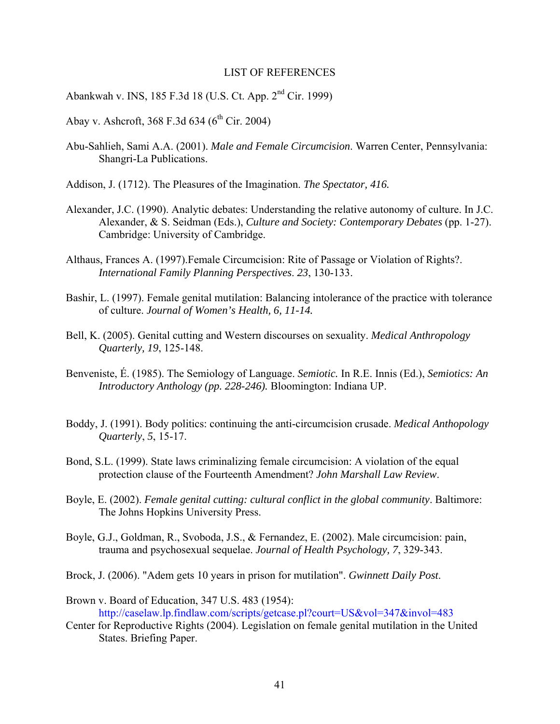#### LIST OF REFERENCES

<span id="page-40-0"></span>Abankwah v. INS, 185 F.3d 18 (U.S. Ct. App. 2nd Cir. 1999)

Abay v. Ashcroft, 368 F.3d 634 ( $6^{th}$  Cir. 2004)

- Abu-Sahlieh, Sami A.A. (2001). *Male and Female Circumcision*. Warren Center, Pennsylvania: Shangri-La Publications.
- Addison, J. (1712). The Pleasures of the Imagination. *The Spectator, 416.*
- Alexander, J.C. (1990). Analytic debates: Understanding the relative autonomy of culture. In J.C. Alexander, & S. Seidman (Eds.), *Culture and Society: Contemporary Debates* (pp. 1-27). Cambridge: University of Cambridge.
- Althaus, Frances A. (1997).Female Circumcision: Rite of Passage or Violation of Rights?. *International Family Planning Perspectives*. *23*, 130-133.
- Bashir, L. (1997). Female genital mutilation: Balancing intolerance of the practice with tolerance of culture. *Journal of Women's Health, 6, 11-14.*
- Bell, K. (2005). Genital cutting and Western discourses on sexuality. *Medical Anthropology Quarterly, 19*, 125-148.
- Benveniste, É. (1985). The Semiology of Language. *Semiotic.* In R.E. Innis (Ed.), *Semiotics: An Introductory Anthology (pp. 228-246).* Bloomington: Indiana UP.
- Boddy, J. (1991). Body politics: continuing the anti-circumcision crusade. *Medical Anthopology Quarterly*, *5*, 15-17.
- Bond, S.L. (1999). State laws criminalizing female circumcision: A violation of the equal protection clause of the Fourteenth Amendment? *John Marshall Law Review*.
- Boyle, E. (2002). *Female genital cutting: cultural conflict in the global community*. Baltimore: The Johns Hopkins University Press.
- Boyle, G.J., Goldman, R., Svoboda, J.S., & Fernandez, E. (2002). Male circumcision: pain, trauma and psychosexual sequelae. *Journal of Health Psychology, 7*, 329-343.
- Brock, J. (2006). "Adem gets 10 years in prison for mutilation". *Gwinnett Daily Post*.
- Brown v. Board of Education, 347 U.S. 483 (1954): <http://caselaw.lp.findlaw.com/scripts/getcase.pl?court=US&vol=347&invol=483>
- Center for Reproductive Rights (2004). Legislation on female genital mutilation in the United States. Briefing Paper.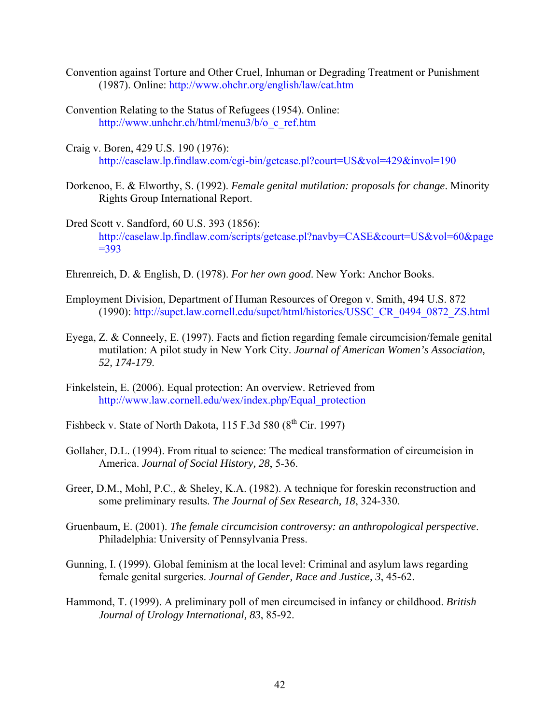- Convention against Torture and Other Cruel, Inhuman or Degrading Treatment or Punishment (1987). Online:<http://www.ohchr.org/english/law/cat.htm>
- Convention Relating to the Status of Refugees (1954). Online: [http://www.unhchr.ch/html/menu3/b/o\\_c\\_ref.htm](http://www.unhchr.ch/html/menu3/b/o_c_ref.htm)
- Craig v. Boren, 429 U.S. 190 (1976): <http://caselaw.lp.findlaw.com/cgi-bin/getcase.pl?court=US&vol=429&invol=190>
- Dorkenoo, E. & Elworthy, S. (1992). *Female genital mutilation: proposals for change*. Minority Rights Group International Report.
- Dred Scott v. Sandford, 60 U.S. 393 (1856): [http://caselaw.lp.findlaw.com/scripts/getcase.pl?navby=CASE&court=US&vol=60&page](http://caselaw.lp.findlaw.com/scripts/getcase.pl?navby=CASE&court=US&vol=60&page=393)  $=393$
- Ehrenreich, D. & English, D. (1978). *For her own good*. New York: Anchor Books.
- Employment Division, Department of Human Resources of Oregon v. Smith, 494 U.S. 872 (1990): [http://supct.law.cornell.edu/supct/html/historics/USSC\\_CR\\_0494\\_0872\\_ZS.html](http://supct.law.cornell.edu/supct/html/historics/USSC_CR_0494_0872_ZS.html)
- Eyega, Z. & Conneely, E. (1997). Facts and fiction regarding female circumcision/female genital mutilation: A pilot study in New York City. *Journal of American Women's Association, 52, 174-179*.
- Finkelstein, E. (2006). Equal protection: An overview. Retrieved from [http://www.law.cornell.edu/wex/index.php/Equal\\_protection](http://www.law.cornell.edu/wex/index.php/Equal_protection)
- Fishbeck v. State of North Dakota,  $115$  F.3d 580 ( $8<sup>th</sup>$  Cir. 1997)
- Gollaher, D.L. (1994). From ritual to science: The medical transformation of circumcision in America. *Journal of Social History, 28*, 5-36.
- Greer, D.M., Mohl, P.C., & Sheley, K.A. (1982). A technique for foreskin reconstruction and some preliminary results. *The Journal of Sex Research, 18*, 324-330.
- Gruenbaum, E. (2001). *The female circumcision controversy: an anthropological perspective*. Philadelphia: University of Pennsylvania Press.
- Gunning, I. (1999). Global feminism at the local level: Criminal and asylum laws regarding female genital surgeries. *Journal of Gender, Race and Justice, 3*, 45-62.
- Hammond, T. (1999). A preliminary poll of men circumcised in infancy or childhood. *British Journal of Urology International, 83*, 85-92.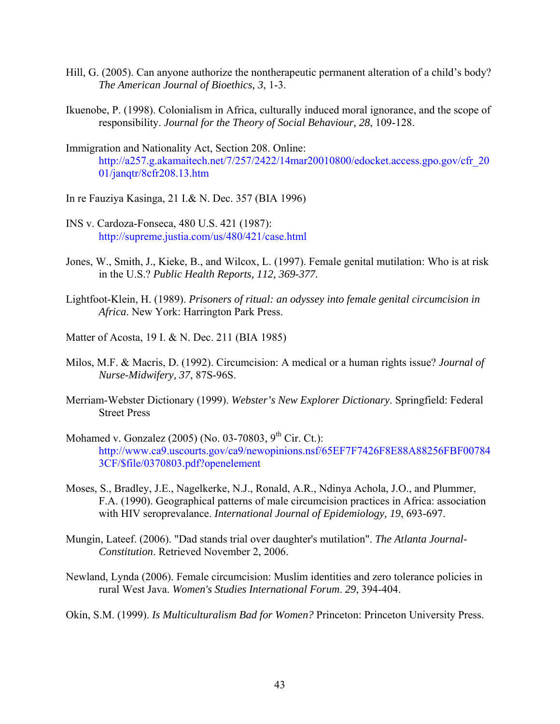- Hill, G. (2005). Can anyone authorize the nontherapeutic permanent alteration of a child's body? *The American Journal of Bioethics, 3*, 1-3.
- Ikuenobe, P. (1998). Colonialism in Africa, culturally induced moral ignorance, and the scope of responsibility. *Journal for the Theory of Social Behaviour, 28*, 109-128.
- Immigration and Nationality Act, Section 208. Online: [http://a257.g.akamaitech.net/7/257/2422/14mar20010800/edocket.access.gpo.gov/cfr\\_20](http://a257.g.akamaitech.net/7/257/2422/14mar20010800/edocket.access.gpo.gov/cfr_2001/janqtr/8cfr208.13.htm) [01/janqtr/8cfr208.13.htm](http://a257.g.akamaitech.net/7/257/2422/14mar20010800/edocket.access.gpo.gov/cfr_2001/janqtr/8cfr208.13.htm)
- In re Fauziya Kasinga, 21 I.& N. Dec. 357 (BIA 1996)
- INS v. Cardoza-Fonseca, 480 U.S. 421 (1987): <http://supreme.justia.com/us/480/421/case.html>
- Jones, W., Smith, J., Kieke, B., and Wilcox, L. (1997). Female genital mutilation: Who is at risk in the U.S.? *Public Health Reports, 112, 369-377.*
- Lightfoot-Klein, H. (1989). *Prisoners of ritual: an odyssey into female genital circumcision in Africa*. New York: Harrington Park Press.
- Matter of Acosta, 19 I. & N. Dec. 211 (BIA 1985)
- Milos, M.F. & Macris, D. (1992). Circumcision: A medical or a human rights issue? *Journal of Nurse-Midwifery, 37*, 87S-96S.
- Merriam-Webster Dictionary (1999). *Webster's New Explorer Dictionary*. Springfield: Federal Street Press
- Mohamed v. Gonzalez (2005) (No. 03-70803,  $9<sup>th</sup>$  Cir. Ct.): [http://www.ca9.uscourts.gov/ca9/newopinions.nsf/65EF7F7426F8E88A88256FBF00784](http://www.ca9.uscourts.gov/ca9/newopinions.nsf/65EF7F7426F8E88A88256FBF007843CF/$file/0370803.pdf?openelement) [3CF/\\$file/0370803.pdf?openelement](http://www.ca9.uscourts.gov/ca9/newopinions.nsf/65EF7F7426F8E88A88256FBF007843CF/$file/0370803.pdf?openelement)
- Moses, S., Bradley, J.E., Nagelkerke, N.J., Ronald, A.R., Ndinya Achola, J.O., and Plummer, F.A. (1990). Geographical patterns of male circumcision practices in Africa: association with HIV seroprevalance. *International Journal of Epidemiology, 19*, 693-697.
- Mungin, Lateef. (2006). "Dad stands trial over daughter's mutilation". *The Atlanta Journal-Constitution*. Retrieved November 2, 2006.
- Newland, Lynda (2006). Female circumcision: Muslim identities and zero tolerance policies in rural West Java. *Women's Studies International Forum*. *29*, 394-404.

Okin, S.M. (1999). *Is Multiculturalism Bad for Women?* Princeton: Princeton University Press.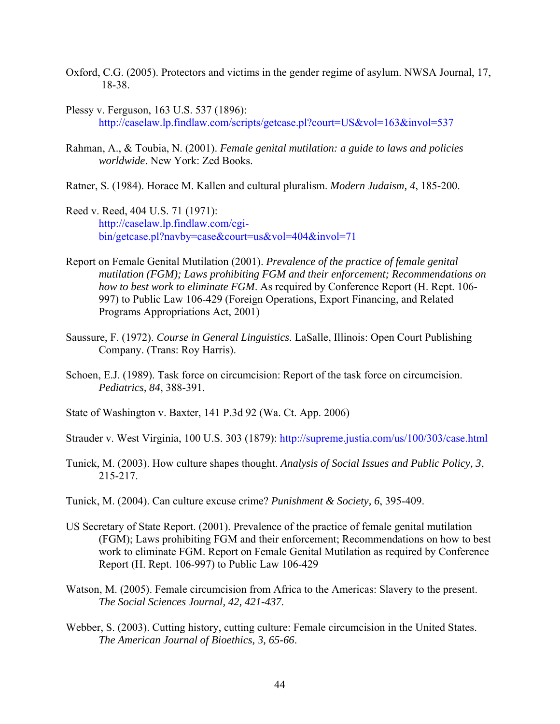- Oxford, C.G. (2005). Protectors and victims in the gender regime of asylum. NWSA Journal, 17, 18-38.
- Plessy v. Ferguson, 163 U.S. 537 (1896): <http://caselaw.lp.findlaw.com/scripts/getcase.pl?court=US&vol=163&invol=537>
- Rahman, A., & Toubia, N. (2001). *Female genital mutilation: a guide to laws and policies worldwide*. New York: Zed Books.
- Ratner, S. (1984). Horace M. Kallen and cultural pluralism. *Modern Judaism, 4*, 185-200.
- Reed v. Reed, 404 U.S. 71 (1971): [http://caselaw.lp.findlaw.com/cgi](http://caselaw.lp.findlaw.com/cgi-bin/getcase.pl?navby=case&court=us&vol=404&invol=71)[bin/getcase.pl?navby=case&court=us&vol=404&invol=71](http://caselaw.lp.findlaw.com/cgi-bin/getcase.pl?navby=case&court=us&vol=404&invol=71)
- Report on Female Genital Mutilation (2001). *Prevalence of the practice of female genital mutilation (FGM); Laws prohibiting FGM and their enforcement; Recommendations on how to best work to eliminate FGM*. As required by Conference Report (H. Rept. 106- 997) to Public Law 106-429 (Foreign Operations, Export Financing, and Related Programs Appropriations Act, 2001)
- Saussure, F. (1972). *Course in General Linguistics*. LaSalle, Illinois: Open Court Publishing Company. (Trans: Roy Harris).
- Schoen, E.J. (1989). Task force on circumcision: Report of the task force on circumcision. *Pediatrics, 84*, 388-391.
- State of Washington v. Baxter, 141 P.3d 92 (Wa. Ct. App. 2006)
- Strauder v. West Virginia, 100 U.S. 303 (1879):<http://supreme.justia.com/us/100/303/case.html>
- Tunick, M. (2003). How culture shapes thought. *Analysis of Social Issues and Public Policy, 3*, 215-217.
- Tunick, M. (2004). Can culture excuse crime? *Punishment & Society, 6*, 395-409.
- US Secretary of State Report. (2001). Prevalence of the practice of female genital mutilation (FGM); Laws prohibiting FGM and their enforcement; Recommendations on how to best work to eliminate FGM. Report on Female Genital Mutilation as required by Conference Report (H. Rept. 106-997) to Public Law 106-429
- Watson, M. (2005). Female circumcision from Africa to the Americas: Slavery to the present. *The Social Sciences Journal, 42, 421-437*.
- Webber, S. (2003). Cutting history, cutting culture: Female circumcision in the United States. *The American Journal of Bioethics, 3, 65-66*.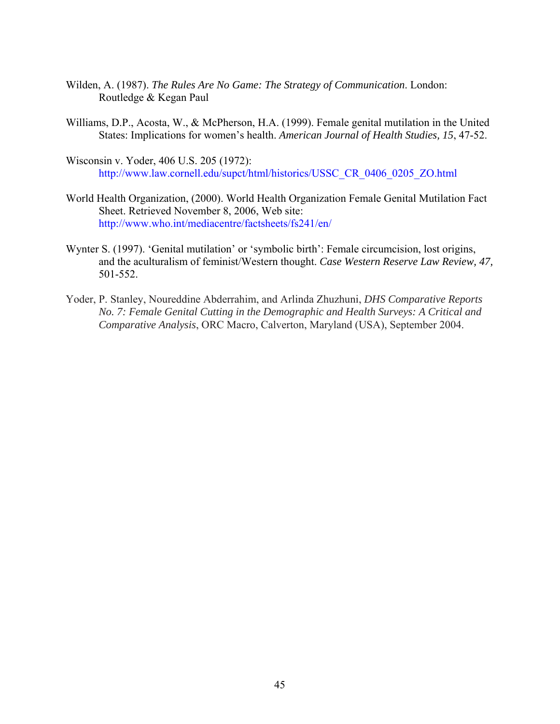- Wilden, A. (1987). *The Rules Are No Game: The Strategy of Communication*. London: Routledge & Kegan Paul
- Williams, D.P., Acosta, W., & McPherson, H.A. (1999). Female genital mutilation in the United States: Implications for women's health. *American Journal of Health Studies, 15*, 47-52.
- Wisconsin v. Yoder, 406 U.S. 205 (1972): [http://www.law.cornell.edu/supct/html/historics/USSC\\_CR\\_0406\\_0205\\_ZO.html](http://www.law.cornell.edu/supct/html/historics/USSC_CR_0406_0205_ZO.html)
- World Health Organization, (2000). World Health Organization Female Genital Mutilation Fact Sheet. Retrieved November 8, 2006, Web site: <http://www.who.int/mediacentre/factsheets/fs241/en/>
- Wynter S. (1997). 'Genital mutilation' or 'symbolic birth': Female circumcision, lost origins, and the aculturalism of feminist/Western thought. *Case Western Reserve Law Review, 47,* 501-552.
- Yoder, P. Stanley, Noureddine Abderrahim, and Arlinda Zhuzhuni, *DHS Comparative Reports No. 7: Female Genital Cutting in the Demographic and Health Surveys: A Critical and Comparative Analysis*, ORC Macro, Calverton, Maryland (USA), September 2004.